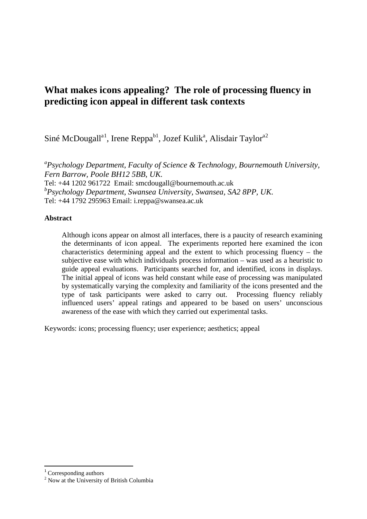# **What makes icons appealing? The role of processing fluency in predicting icon appeal in different task contexts**

Siné McDougall<sup>a[1](#page-0-0)</sup>, Irene Reppa<sup>b1</sup>, Jozef Kulik<sup>a</sup>, Alisdair Taylor<sup>a[2](#page-0-1)</sup>

*a Psychology Department, Faculty of Science & Technology, Bournemouth University, Fern Barrow, Poole BH12 5BB, UK.* Tel: +44 1202 961722 Email: smcdougall@bournemouth.ac.uk *b Psychology Department, Swansea University, Swansea, SA2 8PP, UK.*  Tel: +44 1792 295963 Email: i.reppa@swansea.ac.uk

### **Abstract**

Although icons appear on almost all interfaces, there is a paucity of research examining the determinants of icon appeal. The experiments reported here examined the icon characteristics determining appeal and the extent to which processing fluency – the subjective ease with which individuals process information – was used as a heuristic to guide appeal evaluations. Participants searched for, and identified, icons in displays. The initial appeal of icons was held constant while ease of processing was manipulated by systematically varying the complexity and familiarity of the icons presented and the type of task participants were asked to carry out. Processing fluency reliably influenced users' appeal ratings and appeared to be based on users' unconscious awareness of the ease with which they carried out experimental tasks.

Keywords: icons; processing fluency; user experience; aesthetics; appeal

<span id="page-0-0"></span> $1$  Corresponding authors

<span id="page-0-1"></span> $2$  Now at the University of British Columbia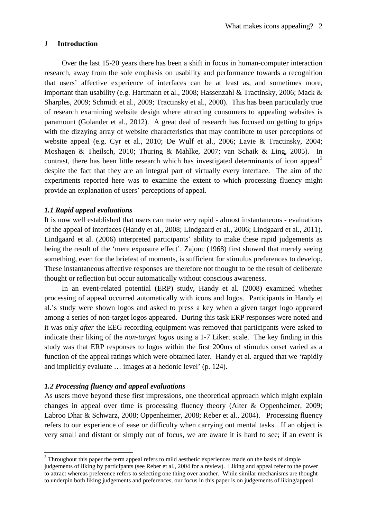### *1* **Introduction**

Over the last 15-20 years there has been a shift in focus in human-computer interaction research, away from the sole emphasis on usability and performance towards a recognition that users' affective experience of interfaces can be at least as, and sometimes more, important than usability (e.g. Hartmann et al., 2008; Hassenzahl & Tractinsky, 2006; Mack & Sharples, 2009; Schmidt et al., 2009; Tractinsky et al., 2000). This has been particularly true of research examining website design where attracting consumers to appealing websites is paramount (Golander et al., 2012). A great deal of research has focused on getting to grips with the dizzying array of website characteristics that may contribute to user perceptions of website appeal (e.g. Cyr et al., 2010; De Wulf et al., 2006; Lavie & Tractinsky, 2004; Moshagen & Theilsch, 2010; Thuring & Mahlke, 2007; van Schaik & Ling, 2005). In contrast, there has been little research which has investigated determinants of icon appeal<sup>[3](#page-1-0)</sup> despite the fact that they are an integral part of virtually every interface. The aim of the experiments reported here was to examine the extent to which processing fluency might provide an explanation of users' perceptions of appeal.

### *1.1 Rapid appeal evaluations*

It is now well established that users can make very rapid - almost instantaneous - evaluations of the appeal of interfaces (Handy et al., 2008; Lindgaard et al., 2006; Lindgaard et al., 2011). Lindgaard et al. (2006) interpreted participants' ability to make these rapid judgements as being the result of the 'mere exposure effect'. Zajonc (1968) first showed that merely seeing something, even for the briefest of moments, is sufficient for stimulus preferences to develop. These instantaneous affective responses are therefore not thought to be the result of deliberate thought or reflection but occur automatically without conscious awareness.

In an event-related potential (ERP) study, Handy et al. (2008) examined whether processing of appeal occurred automatically with icons and logos. Participants in Handy et al.'s study were shown logos and asked to press a key when a given target logo appeared among a series of non-target logos appeared. During this task ERP responses were noted and it was only *after* the EEG recording equipment was removed that participants were asked to indicate their liking of the *non-target logos* using a 1-7 Likert scale. The key finding in this study was that ERP responses to logos within the first 200ms of stimulus onset varied as a function of the appeal ratings which were obtained later. Handy et al. argued that we 'rapidly and implicitly evaluate … images at a hedonic level' (p. 124).

#### *1.2 Processing fluency and appeal evaluations*

As users move beyond these first impressions, one theoretical approach which might explain changes in appeal over time is processing fluency theory (Alter & Oppenheimer, 2009; Labroo Dhar & Schwarz, 2008; Oppenheimer, 2008; Reber et al., 2004). Processing fluency refers to our experience of ease or difficulty when carrying out mental tasks. If an object is very small and distant or simply out of focus, we are aware it is hard to see; if an event is

<span id="page-1-0"></span><sup>&</sup>lt;sup>3</sup> Throughout this paper the term appeal refers to mild aesthetic experiences made on the basis of simple judgements of liking by participants (see Reber et al., 2004 for a review). Liking and appeal refer to the power to attract whereas preference refers to selecting one thing over another. While similar mechanisms are thought to underpin both liking judgements and preferences, our focus in this paper is on judgements of liking/appeal.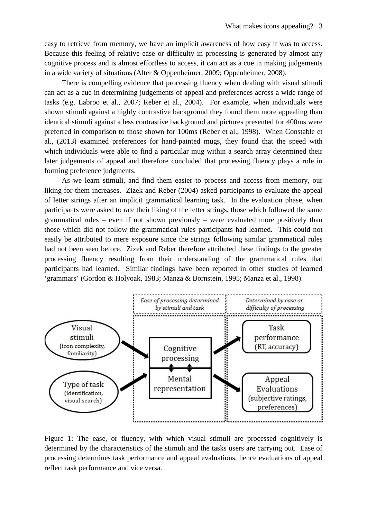easy to retrieve from memory, we have an implicit awareness of how easy it was to access. Because this feeling of relative ease or difficulty in processing is generated by almost any cognitive process and is almost effortless to access, it can act as a cue in making judgements in a wide variety of situations (Alter & Oppenheimer, 2009; Oppenheimer, 2008).

There is compelling evidence that processing fluency when dealing with visual stimuli can act as a cue in determining judgements of appeal and preferences across a wide range of tasks (e.g. Labroo et al., 2007; Reber et al., 2004). For example, when individuals were shown stimuli against a highly contrastive background they found them more appealing than identical stimuli against a less contrastive background and pictures presented for 400ms were preferred in comparison to those shown for 100ms (Reber et al., 1998). When Constable et al., (2013) examined preferences for hand-painted mugs, they found that the speed with which individuals were able to find a particular mug within a search array determined their later judgements of appeal and therefore concluded that processing fluency plays a role in forming preference judgments.

As we learn stimuli, and find them easier to process and access from memory, our liking for them increases. Zizek and Reber (2004) asked participants to evaluate the appeal of letter strings after an implicit grammatical learning task. In the evaluation phase, when participants were asked to rate their liking of the letter strings, those which followed the same grammatical rules – even if not shown previously – were evaluated more positively than those which did not follow the grammatical rules participants had learned. This could not easily be attributed to mere exposure since the strings following similar grammatical rules had not been seen before. Zizek and Reber therefore attributed these findings to the greater processing fluency resulting from their understanding of the grammatical rules that participants had learned. Similar findings have been reported in other studies of learned 'grammars' (Gordon & Holyoak, 1983; Manza & Bornstein, 1995; Manza et al., 1998).



Figure 1: The ease, or fluency, with which visual stimuli are processed cognitively is determined by the characteristics of the stimuli and the tasks users are carrying out. Ease of processing determines task performance and appeal evaluations, hence evaluations of appeal reflect task performance and vice versa.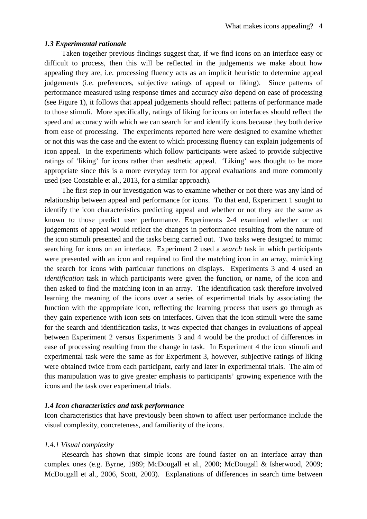### *1.3 Experimental rationale*

Taken together previous findings suggest that, if we find icons on an interface easy or difficult to process, then this will be reflected in the judgements we make about how appealing they are, i.e. processing fluency acts as an implicit heuristic to determine appeal judgements (i.e. preferences, subjective ratings of appeal or liking). Since patterns of performance measured using response times and accuracy *also* depend on ease of processing (see Figure 1), it follows that appeal judgements should reflect patterns of performance made to those stimuli. More specifically, ratings of liking for icons on interfaces should reflect the speed and accuracy with which we can search for and identify icons because they both derive from ease of processing. The experiments reported here were designed to examine whether or not this was the case and the extent to which processing fluency can explain judgements of icon appeal. In the experiments which follow participants were asked to provide subjective ratings of 'liking' for icons rather than aesthetic appeal. 'Liking' was thought to be more appropriate since this is a more everyday term for appeal evaluations and more commonly used (see Constable et al., 2013, for a similar approach).

The first step in our investigation was to examine whether or not there was any kind of relationship between appeal and performance for icons. To that end, Experiment 1 sought to identify the icon characteristics predicting appeal and whether or not they are the same as known to those predict user performance. Experiments 2-4 examined whether or not judgements of appeal would reflect the changes in performance resulting from the nature of the icon stimuli presented and the tasks being carried out. Two tasks were designed to mimic searching for icons on an interface. Experiment 2 used a *search* task in which participants were presented with an icon and required to find the matching icon in an array, mimicking the search for icons with particular functions on displays. Experiments 3 and 4 used an *identification* task in which participants were given the function, or name, of the icon and then asked to find the matching icon in an array. The identification task therefore involved learning the meaning of the icons over a series of experimental trials by associating the function with the appropriate icon, reflecting the learning process that users go through as they gain experience with icon sets on interfaces. Given that the icon stimuli were the same for the search and identification tasks, it was expected that changes in evaluations of appeal between Experiment 2 versus Experiments 3 and 4 would be the product of differences in ease of processing resulting from the change in task. In Experiment 4 the icon stimuli and experimental task were the same as for Experiment 3, however, subjective ratings of liking were obtained twice from each participant, early and later in experimental trials. The aim of this manipulation was to give greater emphasis to participants' growing experience with the icons and the task over experimental trials.

#### *1.4 Icon characteristics and task performance*

Icon characteristics that have previously been shown to affect user performance include the visual complexity, concreteness, and familiarity of the icons.

#### *1.4.1 Visual complexity*

Research has shown that simple icons are found faster on an interface array than complex ones (e.g. Byrne, 1989; McDougall et al., 2000; McDougall & Isherwood, 2009; McDougall et al., 2006, Scott, 2003). Explanations of differences in search time between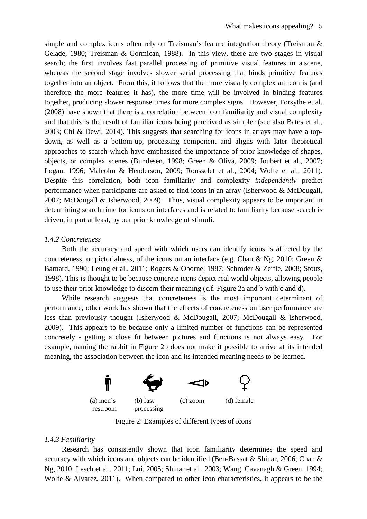simple and complex icons often rely on Treisman's feature integration theory (Treisman & Gelade, 1980; Treisman & Gormican, 1988). In this view, there are two stages in visual search; the first involves fast parallel processing of primitive visual features in a scene, whereas the second stage involves slower serial processing that binds primitive features together into an object. From this, it follows that the more visually complex an icon is (and therefore the more features it has), the more time will be involved in binding features together, producing slower response times for more complex signs. However, Forsythe et al. (2008) have shown that there is a correlation between icon familiarity and visual complexity and that this is the result of familiar icons being perceived as simpler (see also Bates et al., 2003; Chi & Dewi, 2014). This suggests that searching for icons in arrays may have a topdown, as well as a bottom-up, processing component and aligns with later theoretical approaches to search which have emphasised the importance of prior knowledge of shapes, objects, or complex scenes (Bundesen, 1998; Green & Oliva, 2009; Joubert et al., 2007; Logan, 1996; Malcolm & Henderson, 2009; Rousselet et al., 2004; Wolfe et al., 2011). Despite this correlation, both icon familiarity and complexity *independently* predict performance when participants are asked to find icons in an array (Isherwood & McDougall, 2007; McDougall & Isherwood, 2009). Thus, visual complexity appears to be important in determining search time for icons on interfaces and is related to familiarity because search is driven, in part at least, by our prior knowledge of stimuli.

## *1.4.2 Concreteness*

Both the accuracy and speed with which users can identify icons is affected by the concreteness, or pictorialness, of the icons on an interface (e.g. Chan & Ng, 2010; Green & Barnard, 1990; Leung et al., 2011; Rogers & Oborne, 1987; Schroder & Zeifle, 2008; Stotts, 1998). This is thought to be because concrete icons depict real world objects, allowing people to use their prior knowledge to discern their meaning (c.f. Figure 2a and b with c and d).

While research suggests that concreteness is the most important determinant of performance, other work has shown that the effects of concreteness on user performance are less than previously thought (Isherwood & McDougall, 2007; McDougall & Isherwood, 2009). This appears to be because only a limited number of functions can be represented concretely - getting a close fit between pictures and functions is not always easy. For example, naming the rabbit in Figure 2b does not make it possible to arrive at its intended meaning, the association between the icon and its intended meaning needs to be learned.



Figure 2: Examples of different types of icons

### *1.4.3 Familiarity*

Research has consistently shown that icon familiarity determines the speed and accuracy with which icons and objects can be identified (Ben-Bassat & Shinar, 2006; Chan & Ng, 2010; Lesch et al., 2011; Lui, 2005; Shinar et al., 2003; Wang, Cavanagh & Green, 1994; Wolfe & Alvarez, 2011). When compared to other icon characteristics, it appears to be the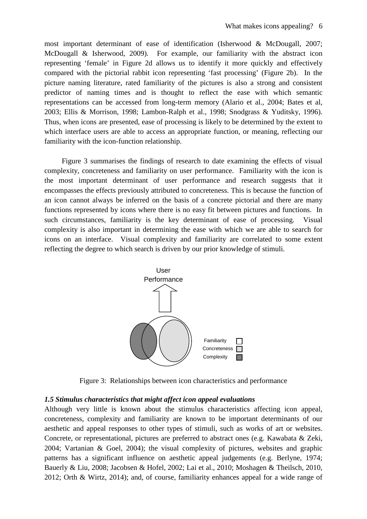most important determinant of ease of identification (Isherwood & McDougall, 2007; McDougall & Isherwood, 2009). For example, our familiarity with the abstract icon representing 'female' in Figure 2d allows us to identify it more quickly and effectively compared with the pictorial rabbit icon representing 'fast processing' (Figure 2b). In the picture naming literature, rated familiarity of the pictures is also a strong and consistent predictor of naming times and is thought to reflect the ease with which semantic representations can be accessed from long-term memory (Alario et al., 2004; Bates et al, 2003; Ellis & Morrison, 1998; Lambon-Ralph et al., 1998; Snodgrass & Yuditsky, 1996). Thus, when icons are presented, ease of processing is likely to be determined by the extent to which interface users are able to access an appropriate function, or meaning, reflecting our familiarity with the icon-function relationship.

Figure 3 summarises the findings of research to date examining the effects of visual complexity, concreteness and familiarity on user performance. Familiarity with the icon is the most important determinant of user performance and research suggests that it encompasses the effects previously attributed to concreteness. This is because the function of an icon cannot always be inferred on the basis of a concrete pictorial and there are many functions represented by icons where there is no easy fit between pictures and functions. In such circumstances, familiarity is the key determinant of ease of processing. Visual complexity is also important in determining the ease with which we are able to search for icons on an interface. Visual complexity and familiarity are correlated to some extent reflecting the degree to which search is driven by our prior knowledge of stimuli.



Figure 3: Relationships between icon characteristics and performance

### *1.5 Stimulus characteristics that might affect icon appeal evaluations*

Although very little is known about the stimulus characteristics affecting icon appeal, concreteness, complexity and familiarity are known to be important determinants of our aesthetic and appeal responses to other types of stimuli, such as works of art or websites. Concrete, or representational, pictures are preferred to abstract ones (e.g. Kawabata & Zeki, 2004; Vartanian & Goel, 2004); the visual complexity of pictures, websites and graphic patterns has a significant influence on aesthetic appeal judgements (e.g. Berlyne, 1974; Bauerly & Liu, 2008; Jacobsen & Hofel, 2002; Lai et al., 2010; Moshagen & Theilsch, 2010, 2012; Orth & Wirtz, 2014); and, of course, familiarity enhances appeal for a wide range of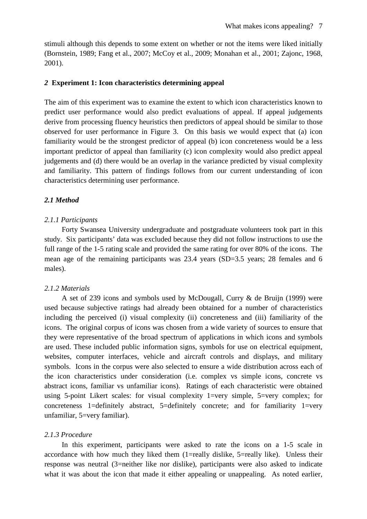stimuli although this depends to some extent on whether or not the items were liked initially (Bornstein, 1989; Fang et al., 2007; McCoy et al., 2009; Monahan et al., 2001; Zajonc, 1968, 2001).

### *2* **Experiment 1: Icon characteristics determining appeal**

The aim of this experiment was to examine the extent to which icon characteristics known to predict user performance would also predict evaluations of appeal. If appeal judgements derive from processing fluency heuristics then predictors of appeal should be similar to those observed for user performance in Figure 3. On this basis we would expect that (a) icon familiarity would be the strongest predictor of appeal (b) icon concreteness would be a less important predictor of appeal than familiarity (c) icon complexity would also predict appeal judgements and (d) there would be an overlap in the variance predicted by visual complexity and familiarity. This pattern of findings follows from our current understanding of icon characteristics determining user performance.

### *2.1 Method*

### *2.1.1 Participants*

Forty Swansea University undergraduate and postgraduate volunteers took part in this study. Six participants' data was excluded because they did not follow instructions to use the full range of the 1-5 rating scale and provided the same rating for over 80% of the icons. The mean age of the remaining participants was 23.4 years (SD=3.5 years; 28 females and 6 males).

#### *2.1.2 Materials*

A set of 239 icons and symbols used by McDougall, Curry & de Bruijn (1999) were used because subjective ratings had already been obtained for a number of characteristics including the perceived (i) visual complexity (ii) concreteness and (iii) familiarity of the icons. The original corpus of icons was chosen from a wide variety of sources to ensure that they were representative of the broad spectrum of applications in which icons and symbols are used. These included public information signs, symbols for use on electrical equipment, websites, computer interfaces, vehicle and aircraft controls and displays, and military symbols. Icons in the corpus were also selected to ensure a wide distribution across each of the icon characteristics under consideration (i.e. complex vs simple icons, concrete vs abstract icons, familiar vs unfamiliar icons). Ratings of each characteristic were obtained using 5-point Likert scales: for visual complexity 1=very simple, 5=very complex; for concreteness 1=definitely abstract, 5=definitely concrete; and for familiarity 1=very unfamiliar, 5=very familiar).

#### *2.1.3 Procedure*

In this experiment, participants were asked to rate the icons on a 1-5 scale in accordance with how much they liked them (1=really dislike, 5=really like). Unless their response was neutral (3=neither like nor dislike), participants were also asked to indicate what it was about the icon that made it either appealing or unappealing. As noted earlier,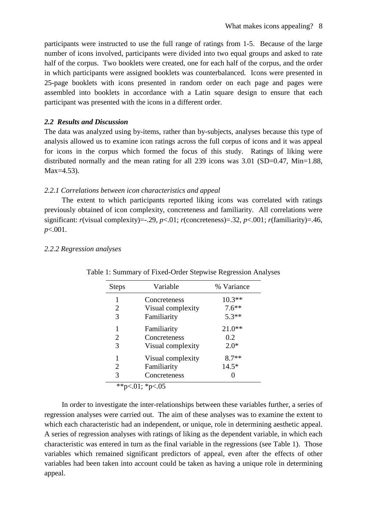participants were instructed to use the full range of ratings from 1-5. Because of the large number of icons involved, participants were divided into two equal groups and asked to rate half of the corpus. Two booklets were created, one for each half of the corpus, and the order in which participants were assigned booklets was counterbalanced. Icons were presented in 25-page booklets with icons presented in random order on each page and pages were assembled into booklets in accordance with a Latin square design to ensure that each participant was presented with the icons in a different order.

### *2.2 Results and Discussion*

The data was analyzed using by-items, rather than by-subjects, analyses because this type of analysis allowed us to examine icon ratings across the full corpus of icons and it was appeal for icons in the corpus which formed the focus of this study. Ratings of liking were distributed normally and the mean rating for all 239 icons was 3.01 (SD=0.47, Min=1.88, Max=4.53).

### *2.2.1 Correlations between icon characteristics and appeal*

The extent to which participants reported liking icons was correlated with ratings previously obtained of icon complexity, concreteness and familiarity. All correlations were significant: *r*(visual complexity)=-.29, *p*<.01; *r*(concreteness)=.32, *p*<.001; *r*(familiarity)=.46, *p*<.001.

### *2.2.2 Regression analyses*

| <b>Steps</b> | Variable          | % Variance |
|--------------|-------------------|------------|
|              | Concreteness      | $10.3**$   |
| 2            | Visual complexity | $7.6**$    |
| 3            | Familiarity       | $5.3**$    |
| 1            | Familiarity       | $21.0**$   |
| 2            | Concreteness      | 0.2        |
| 3            | Visual complexity | $2.0*$     |
|              | Visual complexity | $8.7**$    |
| 2            | Familiarity       | $14.5*$    |
| 3            | Concreteness      |            |

#### Table 1: Summary of Fixed-Order Stepwise Regression Analyses

\*\*p<.01; \*p<.05

In order to investigate the inter-relationships between these variables further, a series of regression analyses were carried out. The aim of these analyses was to examine the extent to which each characteristic had an independent, or unique, role in determining aesthetic appeal. A series of regression analyses with ratings of liking as the dependent variable, in which each characteristic was entered in turn as the final variable in the regressions (see Table 1). Those variables which remained significant predictors of appeal, even after the effects of other variables had been taken into account could be taken as having a unique role in determining appeal.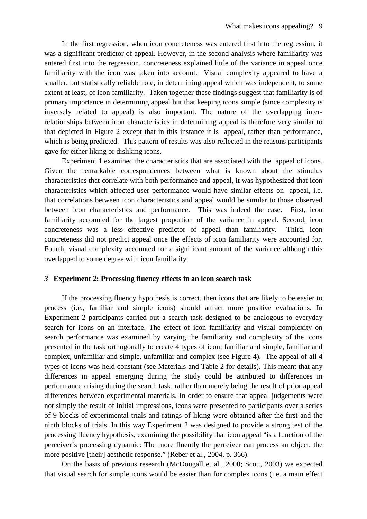In the first regression, when icon concreteness was entered first into the regression, it was a significant predictor of appeal. However, in the second analysis where familiarity was entered first into the regression, concreteness explained little of the variance in appeal once familiarity with the icon was taken into account. Visual complexity appeared to have a smaller, but statistically reliable role, in determining appeal which was independent, to some extent at least, of icon familiarity. Taken together these findings suggest that familiarity is of primary importance in determining appeal but that keeping icons simple (since complexity is inversely related to appeal) is also important. The nature of the overlapping interrelationships between icon characteristics in determining appeal is therefore very similar to that depicted in Figure 2 except that in this instance it is appeal, rather than performance, which is being predicted. This pattern of results was also reflected in the reasons participants gave for either liking or disliking icons.

Experiment 1 examined the characteristics that are associated with the appeal of icons. Given the remarkable correspondences between what is known about the stimulus characteristics that correlate with both performance and appeal, it was hypothesized that icon characteristics which affected user performance would have similar effects on appeal, i.e. that correlations between icon characteristics and appeal would be similar to those observed between icon characteristics and performance. This was indeed the case. First, icon familiarity accounted for the largest proportion of the variance in appeal. Second, icon concreteness was a less effective predictor of appeal than familiarity. Third, icon concreteness did not predict appeal once the effects of icon familiarity were accounted for. Fourth, visual complexity accounted for a significant amount of the variance although this overlapped to some degree with icon familiarity.

#### *3* **Experiment 2: Processing fluency effects in an icon search task**

If the processing fluency hypothesis is correct, then icons that are likely to be easier to process (i.e., familiar and simple icons) should attract more positive evaluations. In Experiment 2 participants carried out a search task designed to be analogous to everyday search for icons on an interface. The effect of icon familiarity and visual complexity on search performance was examined by varying the familiarity and complexity of the icons presented in the task orthogonally to create 4 types of icon; familiar and simple, familiar and complex, unfamiliar and simple, unfamiliar and complex (see Figure 4). The appeal of all 4 types of icons was held constant (see Materials and Table 2 for details). This meant that any differences in appeal emerging during the study could be attributed to differences in performance arising during the search task, rather than merely being the result of prior appeal differences between experimental materials. In order to ensure that appeal judgements were not simply the result of initial impressions, icons were presented to participants over a series of 9 blocks of experimental trials and ratings of liking were obtained after the first and the ninth blocks of trials. In this way Experiment 2 was designed to provide a strong test of the processing fluency hypothesis, examining the possibility that icon appeal "is a function of the perceiver's processing dynamic: The more fluently the perceiver can process an object, the more positive [their] aesthetic response." (Reber et al., 2004, p. 366).

On the basis of previous research (McDougall et al., 2000; Scott, 2003) we expected that visual search for simple icons would be easier than for complex icons (i.e. a main effect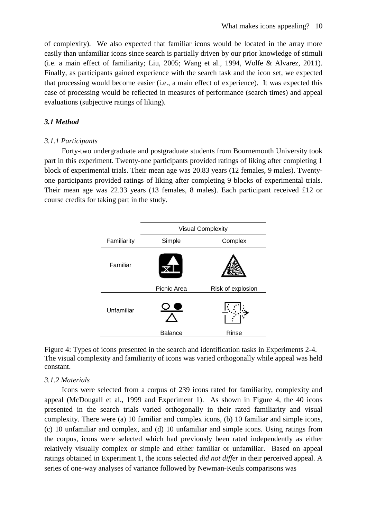of complexity). We also expected that familiar icons would be located in the array more easily than unfamiliar icons since search is partially driven by our prior knowledge of stimuli (i.e. a main effect of familiarity; Liu, 2005; Wang et al., 1994, Wolfe & Alvarez, 2011). Finally, as participants gained experience with the search task and the icon set, we expected that processing would become easier (i.e., a main effect of experience). It was expected this ease of processing would be reflected in measures of performance (search times) and appeal evaluations (subjective ratings of liking).

# *3.1 Method*

### *3.1.1 Participants*

Forty-two undergraduate and postgraduate students from Bournemouth University took part in this experiment. Twenty-one participants provided ratings of liking after completing 1 block of experimental trials. Their mean age was 20.83 years (12 females, 9 males). Twentyone participants provided ratings of liking after completing 9 blocks of experimental trials. Their mean age was 22.33 years (13 females, 8 males). Each participant received £12 or course credits for taking part in the study.



Figure 4: Types of icons presented in the search and identification tasks in Experiments 2-4. The visual complexity and familiarity of icons was varied orthogonally while appeal was held constant.

### *3.1.2 Materials*

Icons were selected from a corpus of 239 icons rated for familiarity, complexity and appeal (McDougall et al., 1999 and Experiment 1). As shown in Figure 4, the 40 icons presented in the search trials varied orthogonally in their rated familiarity and visual complexity. There were (a) 10 familiar and complex icons, (b) 10 familiar and simple icons, (c) 10 unfamiliar and complex, and (d) 10 unfamiliar and simple icons. Using ratings from the corpus, icons were selected which had previously been rated independently as either relatively visually complex or simple and either familiar or unfamiliar. Based on appeal ratings obtained in Experiment 1, the icons selected *did not differ* in their perceived appeal. A series of one-way analyses of variance followed by Newman-Keuls comparisons was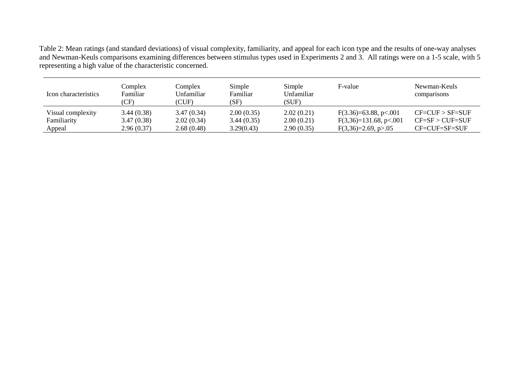Table 2: Mean ratings (and standard deviations) of visual complexity, familiarity, and appeal for each icon type and the results of one-way analyses and Newman-Keuls comparisons examining differences between stimulus types used in Experiments 2 and 3. All ratings were on a 1-5 scale, with 5 representing a high value of the characteristic concerned.

| Icon characteristics | Complex<br>Familiar<br>(CF) | Complex<br>Unfamiliar<br>(CUF) | Simple<br>Familiar<br>(SF) | Simple<br>Unfamiliar<br>(SUF) | F-value                  | Newman-Keuls<br>comparisons |
|----------------------|-----------------------------|--------------------------------|----------------------------|-------------------------------|--------------------------|-----------------------------|
| Visual complexity    | 3.44(0.38)                  | 3.47(0.34)                     | 2.00(0.35)                 | 2.02(0.21)                    | $F(3.36)=63.88, p<.001$  | $CF=CUF > SF=SUF$           |
| Familiarity          | 3.47(0.38)                  | 2.02(0.34)                     | 3.44(0.35)                 | 2.00(0.21)                    | $F(3,36)=131.68, p<.001$ | $CF = SF > CUF = SUF$       |
| Appeal               | 2.96(0.37)                  | 2.68(0.48)                     | 3.29(0.43)                 | 2.90(0.35)                    | $F(3,36)=2.69, p>0.05$   | $CF = CUF = SF = SUF$       |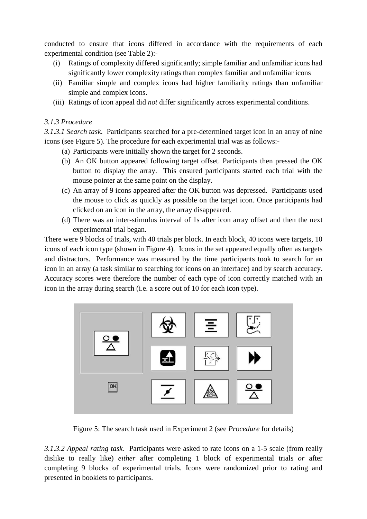conducted to ensure that icons differed in accordance with the requirements of each experimental condition (see Table 2):-

- (i) Ratings of complexity differed significantly; simple familiar and unfamiliar icons had significantly lower complexity ratings than complex familiar and unfamiliar icons
- (ii) Familiar simple and complex icons had higher familiarity ratings than unfamiliar simple and complex icons.
- (iii) Ratings of icon appeal did *not* differ significantly across experimental conditions.

# *3.1.3 Procedure*

*3.1.3.1 Search task.*Participants searched for a pre-determined target icon in an array of nine icons (see Figure 5). The procedure for each experimental trial was as follows:-

- (a) Participants were initially shown the target for 2 seconds.
- (b) An OK button appeared following target offset. Participants then pressed the OK button to display the array. This ensured participants started each trial with the mouse pointer at the same point on the display.
- (c) An array of 9 icons appeared after the OK button was depressed. Participants used the mouse to click as quickly as possible on the target icon. Once participants had clicked on an icon in the array, the array disappeared.
- (d) There was an inter-stimulus interval of 1s after icon array offset and then the next experimental trial began.

There were 9 blocks of trials, with 40 trials per block. In each block, 40 icons were targets, 10 icons of each icon type (shown in Figure 4). Icons in the set appeared equally often as targets and distractors. Performance was measured by the time participants took to search for an icon in an array (a task similar to searching for icons on an interface) and by search accuracy. Accuracy scores were therefore the number of each type of icon correctly matched with an icon in the array during search (i.e. a score out of 10 for each icon type).



Figure 5: The search task used in Experiment 2 (see *Procedure* for details)

*3.1.3.2 Appeal rating task.*Participants were asked to rate icons on a 1-5 scale (from really dislike to really like) *either* after completing 1 block of experimental trials *or* after completing 9 blocks of experimental trials. Icons were randomized prior to rating and presented in booklets to participants.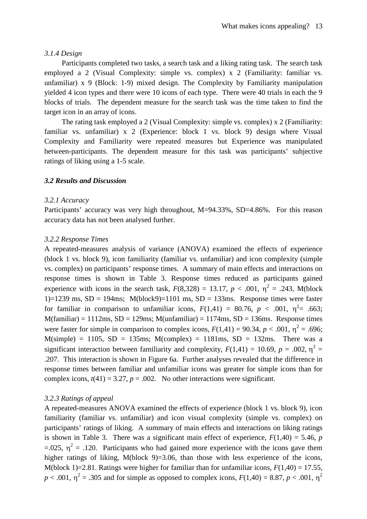# *3.1.4 Design*

Participants completed two tasks, a search task and a liking rating task. The search task employed a 2 (Visual Complexity: simple vs. complex) x 2 (Familiarity: familiar vs. unfamiliar) x 9 (Block: 1-9) mixed design. The Complexity by Familiarity manipulation yielded 4 icon types and there were 10 icons of each type. There were 40 trials in each the 9 blocks of trials. The dependent measure for the search task was the time taken to find the target icon in an array of icons.

The rating task employed a 2 (Visual Complexity: simple vs. complex) x 2 (Familiarity: familiar vs. unfamiliar) x 2 (Experience: block 1 vs. block 9) design where Visual Complexity and Familiarity were repeated measures but Experience was manipulated between-participants. The dependent measure for this task was participants' subjective ratings of liking using a 1-5 scale.

# *3.2 Results and Discussion*

### *3.2.1 Accuracy*

Participants' accuracy was very high throughout, M=94.33%, SD=4.86%. For this reason accuracy data has not been analysed further.

## *3.2.2 Response Times*

A repeated-measures analysis of variance (ANOVA) examined the effects of experience (block 1 vs. block 9), icon familiarity (familiar vs. unfamiliar) and icon complexity (simple vs. complex) on participants' response times. A summary of main effects and interactions on response times is shown in Table 3. Response times reduced as participants gained experience with icons in the search task,  $F(8,328) = 13.17$ ,  $p < .001$ ,  $n^2 = .243$ , M(block 1)=1239 ms,  $SD = 194$ ms; M(block9)=1101 ms,  $SD = 133$ ms. Response times were faster for familiar in comparison to unfamiliar icons,  $F(1,41) = 80.76$ ,  $p < .001$ ,  $\eta^2 = .663$ ;  $M(familiar) = 1112ms, SD = 129ms; M(unfamiliar) = 1174ms, SD = 136ms.$  Response times were faster for simple in comparison to complex icons,  $F(1.41) = 90.34$ ,  $p < .001$ ,  $n^2 = .696$ ;  $M(\text{simple}) = 1105$ ,  $SD = 135$ ms;  $M(\text{complex}) = 1181$ ms,  $SD = 132$ ms. There was a significant interaction between familiarity and complexity,  $F(1,41) = 10.69$ ,  $p = .002$ ,  $\eta^2 =$ .207. This interaction is shown in Figure 6a. Further analyses revealed that the difference in response times between familiar and unfamiliar icons was greater for simple icons than for complex icons,  $t(41) = 3.27$ ,  $p = .002$ . No other interactions were significant.

# *3.2.3 Ratings of appeal*

A repeated-measures ANOVA examined the effects of experience (block 1 vs. block 9), icon familiarity (familiar vs. unfamiliar) and icon visual complexity (simple vs. complex) on participants' ratings of liking. A summary of main effects and interactions on liking ratings is shown in Table 3. There was a significant main effect of experience,  $F(1,40) = 5.46$ , *p* =.025,  $\eta^2$  = .120. Participants who had gained more experience with the icons gave them higher ratings of liking, M(block 9)=3.06, than those with less experience of the icons, M(block 1)=2.81. Ratings were higher for familiar than for unfamiliar icons,  $F(1,40) = 17.55$ ,  $p < .001$ ,  $\eta^2 = .305$  and for simple as opposed to complex icons,  $F(1,40) = 8.87$ ,  $p < .001$ ,  $\eta^2$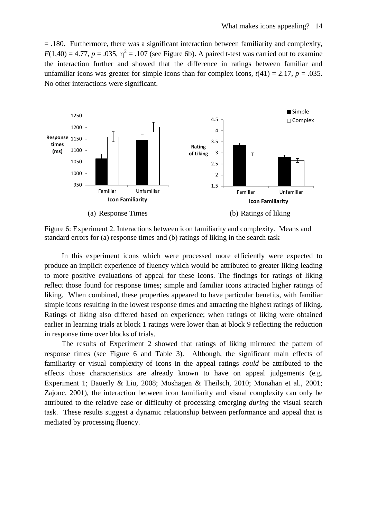= .180. Furthermore, there was a significant interaction between familiarity and complexity,  $F(1,40) = 4.77$ ,  $p = .035$ ,  $\eta^2 = .107$  (see Figure 6b). A paired t-test was carried out to examine the interaction further and showed that the difference in ratings between familiar and unfamiliar icons was greater for simple icons than for complex icons,  $t(41) = 2.17$ ,  $p = .035$ . No other interactions were significant.



Figure 6: Experiment 2. Interactions between icon familiarity and complexity. Means and standard errors for (a) response times and (b) ratings of liking in the search task

In this experiment icons which were processed more efficiently were expected to produce an implicit experience of fluency which would be attributed to greater liking leading to more positive evaluations of appeal for these icons. The findings for ratings of liking reflect those found for response times; simple and familiar icons attracted higher ratings of liking. When combined, these properties appeared to have particular benefits, with familiar simple icons resulting in the lowest response times and attracting the highest ratings of liking. Ratings of liking also differed based on experience; when ratings of liking were obtained earlier in learning trials at block 1 ratings were lower than at block 9 reflecting the reduction in response time over blocks of trials.

The results of Experiment 2 showed that ratings of liking mirrored the pattern of response times (see Figure 6 and Table 3). Although, the significant main effects of familiarity or visual complexity of icons in the appeal ratings *could* be attributed to the effects those characteristics are already known to have on appeal judgements (e.g. Experiment 1; Bauerly & Liu, 2008; Moshagen & Theilsch, 2010; Monahan et al., 2001; Zajonc, 2001), the interaction between icon familiarity and visual complexity can only be attributed to the relative ease or difficulty of processing emerging *during* the visual search task. These results suggest a dynamic relationship between performance and appeal that is mediated by processing fluency.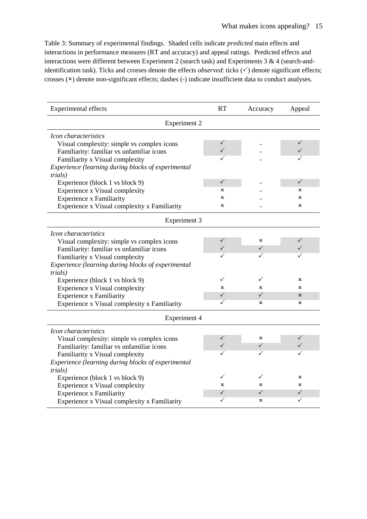Table 3: Summary of experimental findings. Shaded cells indicate *predicted* main effects and interactions in performance measures (RT and accuracy) and appeal ratings. Predicted effects and interactions were different between Experiment 2 (search task) and Experiments 3 & 4 (search-andidentification task). Ticks and crosses denote the effects *observed*: ticks  $(\checkmark)$  denote significant effects; crosses ( $\times$ ) denote non-significant effects; dashes (-) indicate insufficient data to conduct analyses.

| <b>Experimental effects</b>                        | RT           | Accuracy     | Appeal       |  |
|----------------------------------------------------|--------------|--------------|--------------|--|
| <b>Experiment 2</b>                                |              |              |              |  |
| Icon characteristics                               |              |              |              |  |
| Visual complexity: simple vs complex icons         | ✓            |              |              |  |
| Familiarity: familiar vs unfamiliar icons          | $\checkmark$ |              | $\checkmark$ |  |
| Familiarity x Visual complexity                    |              |              |              |  |
| Experience (learning during blocks of experimental |              |              |              |  |
| <i>trials</i> )                                    |              |              |              |  |
| Experience (block 1 vs block 9)                    | $\checkmark$ |              | $\checkmark$ |  |
| Experience x Visual complexity                     | x            |              | ×            |  |
| <b>Experience x Familiarity</b>                    | ×            |              | x            |  |
| Experience x Visual complexity x Familiarity       | ×            |              | x            |  |
| <b>Experiment 3</b>                                |              |              |              |  |
| <i>Icon characteristics</i>                        |              |              |              |  |
| Visual complexity: simple vs complex icons         | ✓            | x            | ✓            |  |
| Familiarity: familiar vs unfamiliar icons          | $\checkmark$ | $\checkmark$ | $\checkmark$ |  |
| Familiarity x Visual complexity                    | ✓            | ✓            | ✓            |  |
| Experience (learning during blocks of experimental |              |              |              |  |
| <i>trials</i> )                                    |              |              |              |  |
| Experience (block 1 vs block 9)                    | ✓            | ✓            | ×            |  |
| Experience x Visual complexity                     | ×            | x            | ×            |  |
| <b>Experience x Familiarity</b>                    | $\checkmark$ | ✓            | $\mathsf{x}$ |  |
| Experience x Visual complexity x Familiarity       | ✓            | x            | x            |  |
| <b>Experiment 4</b>                                |              |              |              |  |
| Icon characteristics                               |              |              |              |  |
| Visual complexity: simple vs complex icons         | ✓            | x            | ✓            |  |
| Familiarity: familiar vs unfamiliar icons          | $\checkmark$ | $\checkmark$ | $\checkmark$ |  |
| Familiarity x Visual complexity                    | ✓            | ✓            | ✓            |  |
| Experience (learning during blocks of experimental |              |              |              |  |
| <i>trials</i> )                                    |              |              |              |  |
| Experience (block 1 vs block 9)                    | ✓            | ✓            | x            |  |
| Experience x Visual complexity                     | x            | x            | ×            |  |
| <b>Experience x Familiarity</b>                    | ✓            | ✓            | ✓            |  |
| Experience x Visual complexity x Familiarity       | ✓            | ×            | ✓            |  |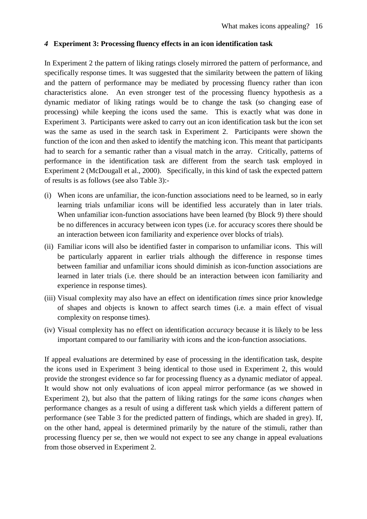# *4* **Experiment 3: Processing fluency effects in an icon identification task**

In Experiment 2 the pattern of liking ratings closely mirrored the pattern of performance, and specifically response times. It was suggested that the similarity between the pattern of liking and the pattern of performance may be mediated by processing fluency rather than icon characteristics alone. An even stronger test of the processing fluency hypothesis as a dynamic mediator of liking ratings would be to change the task (so changing ease of processing) while keeping the icons used the same. This is exactly what was done in Experiment 3. Participants were asked to carry out an icon identification task but the icon set was the same as used in the search task in Experiment 2. Participants were shown the function of the icon and then asked to identify the matching icon. This meant that participants had to search for a semantic rather than a visual match in the array. Critically, patterns of performance in the identification task are different from the search task employed in Experiment 2 (McDougall et al., 2000). Specifically, in this kind of task the expected pattern of results is as follows (see also Table 3):-

- (i) When icons are unfamiliar, the icon-function associations need to be learned, so in early learning trials unfamiliar icons will be identified less accurately than in later trials. When unfamiliar icon-function associations have been learned (by Block 9) there should be no differences in accuracy between icon types (i.e. for accuracy scores there should be an interaction between icon familiarity and experience over blocks of trials).
- (ii) Familiar icons will also be identified faster in comparison to unfamiliar icons. This will be particularly apparent in earlier trials although the difference in response times between familiar and unfamiliar icons should diminish as icon-function associations are learned in later trials (i.e. there should be an interaction between icon familiarity and experience in response times).
- (iii) Visual complexity may also have an effect on identification *times* since prior knowledge of shapes and objects is known to affect search times (i.e. a main effect of visual complexity on response times).
- (iv) Visual complexity has no effect on identification *accuracy* because it is likely to be less important compared to our familiarity with icons and the icon-function associations.

If appeal evaluations are determined by ease of processing in the identification task, despite the icons used in Experiment 3 being identical to those used in Experiment 2, this would provide the strongest evidence so far for processing fluency as a dynamic mediator of appeal. It would show not only evaluations of icon appeal mirror performance (as we showed in Experiment 2), but also that the pattern of liking ratings for the *same* icons *changes* when performance changes as a result of using a different task which yields a different pattern of performance (see Table 3 for the predicted pattern of findings, which are shaded in grey). If, on the other hand, appeal is determined primarily by the nature of the stimuli, rather than processing fluency per se, then we would not expect to see any change in appeal evaluations from those observed in Experiment 2.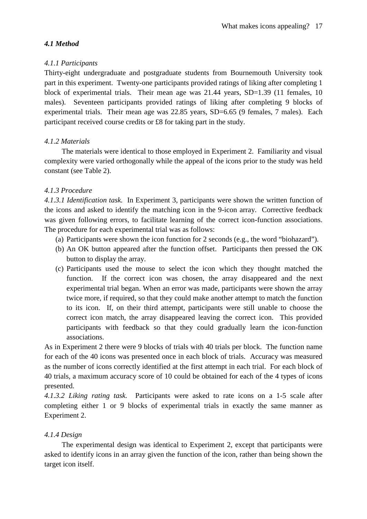# *4.1 Method*

# *4.1.1 Participants*

Thirty-eight undergraduate and postgraduate students from Bournemouth University took part in this experiment. Twenty-one participants provided ratings of liking after completing 1 block of experimental trials. Their mean age was 21.44 years, SD=1.39 (11 females, 10 males). Seventeen participants provided ratings of liking after completing 9 blocks of experimental trials. Their mean age was 22.85 years, SD=6.65 (9 females, 7 males). Each participant received course credits or £8 for taking part in the study.

# *4.1.2 Materials*

The materials were identical to those employed in Experiment 2. Familiarity and visual complexity were varied orthogonally while the appeal of the icons prior to the study was held constant (see Table 2).

# *4.1.3 Procedure*

*4.1.3.1 Identification task.* In Experiment 3, participants were shown the written function of the icons and asked to identify the matching icon in the 9-icon array. Corrective feedback was given following errors, to facilitate learning of the correct icon-function associations. The procedure for each experimental trial was as follows:

- (a) Participants were shown the icon function for 2 seconds (e.g., the word "biohazard").
- (b) An OK button appeared after the function offset. Participants then pressed the OK button to display the array.
- (c) Participants used the mouse to select the icon which they thought matched the function. If the correct icon was chosen, the array disappeared and the next experimental trial began. When an error was made, participants were shown the array twice more, if required, so that they could make another attempt to match the function to its icon. If, on their third attempt, participants were still unable to choose the correct icon match, the array disappeared leaving the correct icon. This provided participants with feedback so that they could gradually learn the icon-function associations.

As in Experiment 2 there were 9 blocks of trials with 40 trials per block. The function name for each of the 40 icons was presented once in each block of trials. Accuracy was measured as the number of icons correctly identified at the first attempt in each trial. For each block of 40 trials, a maximum accuracy score of 10 could be obtained for each of the 4 types of icons presented.

*4.1.3.2 Liking rating task.* Participants were asked to rate icons on a 1-5 scale after completing either 1 or 9 blocks of experimental trials in exactly the same manner as Experiment 2.

# *4.1.4 Design*

The experimental design was identical to Experiment 2, except that participants were asked to identify icons in an array given the function of the icon, rather than being shown the target icon itself.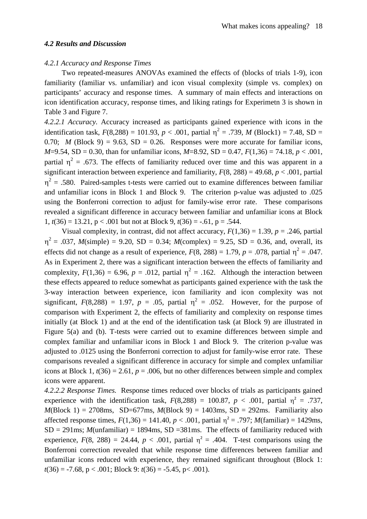### *4.2 Results and Discussion*

#### *4.2.1 Accuracy and Response Times*

Two repeated-measures ANOVAs examined the effects of (blocks of trials 1-9), icon familiarity (familiar vs. unfamiliar) and icon visual complexity (simple vs. complex) on participants' accuracy and response times. A summary of main effects and interactions on icon identification accuracy, response times, and liking ratings for Experimetn 3 is shown in Table 3 and Figure 7.

*4.2.2.1 Accuracy.* Accuracy increased as participants gained experience with icons in the identification task,  $F(8.288) = 101.93$ ,  $p < .001$ , partial  $n^2 = .739$ , *M* (Block1) = 7.48, SD = 0.70; *M* (Block 9) = 9.63, SD = 0.26. Responses were more accurate for familiar icons, *M*=9.54, SD = 0.30, than for unfamiliar icons, *M*=8.92, SD = 0.47, *F*(1,36) = 74.18, *p* < .001, partial  $\eta^2$  = .673. The effects of familiarity reduced over time and this was apparent in a significant interaction between experience and familiarity,  $F(8, 288) = 49.68$ ,  $p < .001$ , partial  $n^2$  = .580. Paired-samples t-tests were carried out to examine differences between familiar and unfamiliar icons in Block 1 and Block 9. The criterion p-value was adjusted to .025 using the Bonferroni correction to adjust for family-wise error rate. These comparisons revealed a significant difference in accuracy between familiar and unfamiliar icons at Block 1,  $t(36) = 13.21$ ,  $p < .001$  but not at Block 9,  $t(36) = -.61$ ,  $p = .544$ .

Visual complexity, in contrast, did not affect accuracy,  $F(1,36) = 1.39$ ,  $p = .246$ , partial  $\eta^2 = .037$ , *M*(simple) = 9.20, SD = 0.34; *M*(complex) = 9.25, SD = 0.36, and, overall, its effects did not change as a result of experience,  $F(8, 288) = 1.79$ ,  $p = .078$ , partial  $\eta^2 = .047$ . As in Experiment 2, there was a significant interaction between the effects of familiarity and complexity,  $F(1,36) = 6.96$ ,  $p = .012$ , partial  $\eta^2 = .162$ . Although the interaction between these effects appeared to reduce somewhat as participants gained experience with the task the 3-way interaction between experience, icon familiarity and icon complexity was not significant,  $F(8.288) = 1.97$ ,  $p = .05$ , partial  $n^2 = .052$ . However, for the purpose of comparison with Experiment 2, the effects of familiarity and complexity on response times initially (at Block 1) and at the end of the identification task (at Block 9) are illustrated in Figure 5(a) and (b). T-tests were carried out to examine differences between simple and complex familiar and unfamiliar icons in Block 1 and Block 9. The criterion p-value was adjusted to .0125 using the Bonferroni correction to adjust for family-wise error rate. These comparisons revealed a significant difference in accuracy for simple and complex unfamiliar icons at Block 1,  $t(36) = 2.61$ ,  $p = .006$ , but no other differences between simple and complex icons were apparent.

*4.2.2.2 Response Times.*Response times reduced over blocks of trials as participants gained experience with the identification task,  $F(8,288) = 100.87$ ,  $p < .001$ , partial  $\eta^2 = .737$ ,  $M(\text{Block } 1) = 2708 \text{ms}, SD=677 \text{ms}, M(\text{Block } 9) = 1403 \text{ms}, SD = 292 \text{ms}.$  Familiarity also affected response times,  $F(1,36) = 141.40$ ,  $p < .001$ , partial  $\eta^2 = .797$ ; *M*(familiar) = 1429ms,  $SD = 291$ ms;  $M$ (unfamiliar) = 1894ms,  $SD = 381$ ms. The effects of familiarity reduced with experience,  $F(8, 288) = 24.44$ ,  $p < .001$ , partial  $\eta^2 = .404$ . T-test comparisons using the Bonferroni correction revealed that while response time differences between familiar and unfamiliar icons reduced with experience, they remained significant throughout (Block 1:  $t(36) = -7.68$ ,  $p < .001$ ; Block 9:  $t(36) = -5.45$ ,  $p < .001$ ).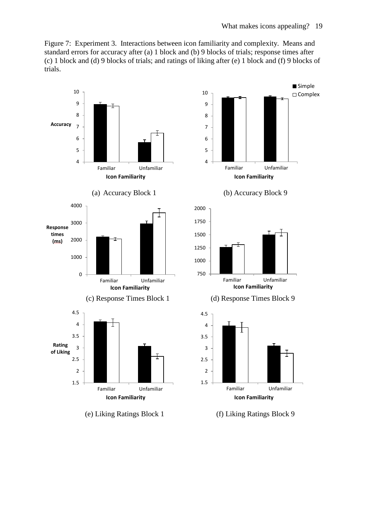Figure 7: Experiment 3. Interactions between icon familiarity and complexity. Means and standard errors for accuracy after (a) 1 block and (b) 9 blocks of trials; response times after (c) 1 block and (d) 9 blocks of trials; and ratings of liking after (e) 1 block and (f) 9 blocks of trials.

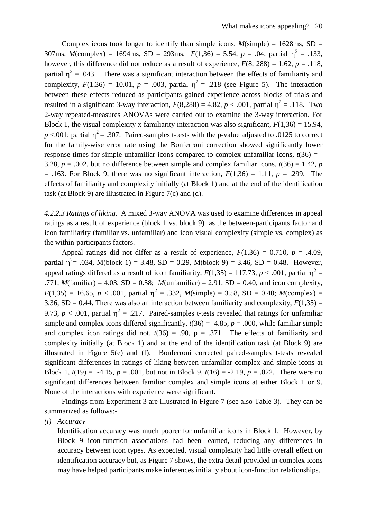Complex icons took longer to identify than simple icons,  $M(\text{simple}) = 1628 \text{ms}, SD =$ 307ms,  $M$ (complex) = 1694ms, SD = 293ms,  $F(1,36) = 5.54$ ,  $p = .04$ , partial  $\eta^2 = .133$ , however, this difference did not reduce as a result of experience,  $F(8, 288) = 1.62$ ,  $p = .118$ , partial  $\eta^2$  = .043. There was a significant interaction between the effects of familiarity and complexity,  $F(1,36) = 10.01$ ,  $p = .003$ , partial  $\eta^2 = .218$  (see Figure 5). The interaction between these effects reduced as participants gained experience across blocks of trials and resulted in a significant 3-way interaction,  $F(8,288) = 4.82$ ,  $p < .001$ , partial  $\eta^2 = .118$ . Two 2-way repeated-measures ANOVAs were carried out to examine the 3-way interaction. For Block 1, the visual complexity x familiarity interaction was also significant,  $F(1,36) = 15.94$ ,  $p \le 0.001$ ; partial  $p^2 = 0.307$ . Paired-samples t-tests with the p-value adjusted to 0.0125 to correct for the family-wise error rate using the Bonferroni correction showed significantly lower response times for simple unfamiliar icons compared to complex unfamiliar icons,  $t(36) = -$ 3.28,  $p = .002$ , but no difference between simple and complex familiar icons,  $t(36) = 1.42$ ,  $p = .002$  $= .163$ . For Block 9, there was no significant interaction,  $F(1,36) = 1.11$ ,  $p = .299$ . The effects of familiarity and complexity initially (at Block 1) and at the end of the identification task (at Block 9) are illustrated in Figure 7(c) and (d).

*4.2.2.3 Ratings of liking.*A mixed 3-way ANOVA was used to examine differences in appeal ratings as a result of experience (block 1 vs. block 9) as the between-participants factor and icon familiarity (familiar vs. unfamiliar) and icon visual complexity (simple vs. complex) as the within-participants factors.

Appeal ratings did not differ as a result of experience,  $F(1,36) = 0.710$ ,  $p = .4.09$ , partial  $\eta^2$  = .034, M(block 1) = 3.48, SD = 0.29, M(block 9) = 3.46, SD = 0.48. However, appeal ratings differed as a result of icon familiarity,  $F(1,35) = 117.73$ ,  $p < .001$ , partial  $\eta^2 =$ .771, *M*(familiar) = 4.03, SD = 0.58; *M*(unfamiliar) = 2.91, SD = 0.40, and icon complexity,  $F(1,35) = 16.65$ ,  $p < .001$ , partial  $\eta^2 = .332$ ,  $M(\text{simple}) = 3.58$ , SD = 0.40;  $M(\text{complex}) =$ 3.36, SD = 0.44. There was also an interaction between familiarity and complexity,  $F(1,35)$  = 9.73,  $p < .001$ , partial  $\eta^2 = .217$ . Paired-samples t-tests revealed that ratings for unfamiliar simple and complex icons differed significantly,  $t(36) = -4.85$ ,  $p = .000$ , while familiar simple and complex icon ratings did not,  $t(36) = .90$ ,  $p = .371$ . The effects of familiarity and complexity initially (at Block 1) and at the end of the identification task (at Block 9) are illustrated in Figure 5(e) and (f). Bonferroni corrected paired-samples t-tests revealed significant differences in ratings of liking between unfamiliar complex and simple icons at Block 1,  $t(19) = -4.15$ ,  $p = .001$ , but not in Block 9,  $t(16) = -2.19$ ,  $p = .022$ . There were no significant differences between familiar complex and simple icons at either Block 1 or 9. None of the interactions with experience were significant.

Findings from Experiment 3 are illustrated in Figure 7 (see also Table 3). They can be summarized as follows:-

*(i) Accuracy*

Identification accuracy was much poorer for unfamiliar icons in Block 1. However, by Block 9 icon-function associations had been learned, reducing any differences in accuracy between icon types. As expected, visual complexity had little overall effect on identification accuracy but, as Figure 7 shows, the extra detail provided in complex icons may have helped participants make inferences initially about icon-function relationships.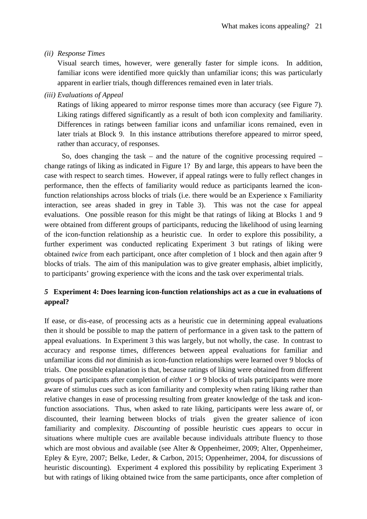# *(ii) Response Times*

Visual search times, however, were generally faster for simple icons. In addition, familiar icons were identified more quickly than unfamiliar icons; this was particularly apparent in earlier trials, though differences remained even in later trials.

# *(iii) Evaluations of Appeal*

Ratings of liking appeared to mirror response times more than accuracy (see Figure 7). Liking ratings differed significantly as a result of both icon complexity and familiarity. Differences in ratings between familiar icons and unfamiliar icons remained, even in later trials at Block 9. In this instance attributions therefore appeared to mirror speed, rather than accuracy, of responses.

So, does changing the task – and the nature of the cognitive processing required – change ratings of liking as indicated in Figure 1? By and large, this appears to have been the case with respect to search times. However, if appeal ratings were to fully reflect changes in performance, then the effects of familiarity would reduce as participants learned the iconfunction relationships across blocks of trials (i.e. there would be an Experience x Familiarity interaction, see areas shaded in grey in Table 3). This was not the case for appeal evaluations. One possible reason for this might be that ratings of liking at Blocks 1 and 9 were obtained from different groups of participants, reducing the likelihood of using learning of the icon-function relationship as a heuristic cue. In order to explore this possibility, a further experiment was conducted replicating Experiment 3 but ratings of liking were obtained *twice* from each participant, once after completion of 1 block and then again after 9 blocks of trials. The aim of this manipulation was to give greater emphasis, albiet implicitly, to participants' growing experience with the icons and the task over experimental trials.

# *5* **Experiment 4: Does learning icon-function relationships act as a cue in evaluations of appeal?**

If ease, or dis-ease, of processing acts as a heuristic cue in determining appeal evaluations then it should be possible to map the pattern of performance in a given task to the pattern of appeal evaluations. In Experiment 3 this was largely, but not wholly, the case. In contrast to accuracy and response times, differences between appeal evaluations for familiar and unfamiliar icons did *not* diminish as icon-function relationships were learned over 9 blocks of trials. One possible explanation is that, because ratings of liking were obtained from different groups of participants after completion of *either* 1 *or* 9 blocks of trials participants were more aware of stimulus cues such as icon familiarity and complexity when rating liking rather than relative changes in ease of processing resulting from greater knowledge of the task and iconfunction associations. Thus, when asked to rate liking, participants were less aware of, or discounted, their learning between blocks of trials given the greater salience of icon familiarity and complexity. *Discounting* of possible heuristic cues appears to occur in situations where multiple cues are available because individuals attribute fluency to those which are most obvious and available (see Alter & Oppenheimer, 2009; Alter, Oppenheimer, Epley & Eyre, 2007; Belke, Leder, & Carbon, 2015; Oppenheimer, 2004, for discussions of heuristic discounting). Experiment 4 explored this possibility by replicating Experiment 3 but with ratings of liking obtained twice from the same participants, once after completion of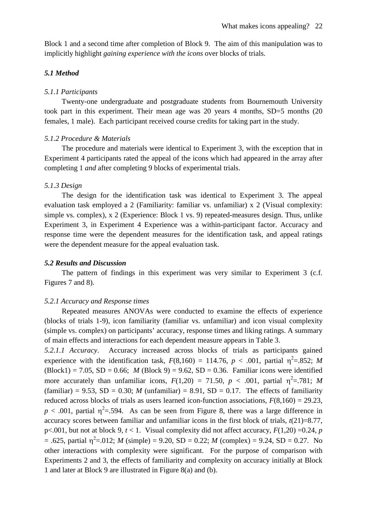Block 1 and a second time after completion of Block 9. The aim of this manipulation was to implicitly highlight *gaining experience with the icons* over blocks of trials.

### *5.1 Method*

#### *5.1.1 Participants*

Twenty-one undergraduate and postgraduate students from Bournemouth University took part in this experiment. Their mean age was 20 years 4 months, SD=5 months (20 females, 1 male). Each participant received course credits for taking part in the study.

### *5.1.2 Procedure & Materials*

The procedure and materials were identical to Experiment 3, with the exception that in Experiment 4 participants rated the appeal of the icons which had appeared in the array after completing 1 *and* after completing 9 blocks of experimental trials.

### *5.1.3 Design*

The design for the identification task was identical to Experiment 3. The appeal evaluation task employed a 2 (Familiarity: familiar vs. unfamiliar) x 2 (Visual complexity: simple vs. complex), x 2 (Experience: Block 1 vs. 9) repeated-measures design. Thus, unlike Experiment 3, in Experiment 4 Experience was a within-participant factor. Accuracy and response time were the dependent measures for the identification task, and appeal ratings were the dependent measure for the appeal evaluation task.

#### *5.2 Results and Discussion*

The pattern of findings in this experiment was very similar to Experiment 3 (c.f. Figures 7 and 8).

#### *5.2.1 Accuracy and Response times*

Repeated measures ANOVAs were conducted to examine the effects of experience (blocks of trials 1-9), icon familiarity (familiar vs. unfamiliar) and icon visual complexity (simple vs. complex) on participants' accuracy, response times and liking ratings. A summary of main effects and interactions for each dependent measure appears in Table 3.

*5.2.1.1 Accuracy*. Accuracy increased across blocks of trials as participants gained experience with the identification task,  $F(8,160) = 114.76$ ,  $p < .001$ , partial  $\eta^2 = .852$ ; *M* (Block1) = 7.05, SD = 0.66; *M* (Block 9) = 9.62, SD = 0.36. Familiar icons were identified more accurately than unfamiliar icons,  $F(1,20) = 71.50$ ,  $p < .001$ , partial  $\eta^2 = .781$ ; *M* (familiar) = 9.53, SD = 0.30; *M* (unfamiliar) = 8.91, SD = 0.17. The effects of familiarity reduced across blocks of trials as users learned icon-function associations,  $F(8,160) = 29.23$ ,  $p < .001$ , partial  $\eta^2 = .594$ . As can be seen from Figure 8, there was a large difference in accuracy scores between familiar and unfamiliar icons in the first block of trials, *t*(21)=8.77, p<.001, but not at block 9,  $t < 1$ . Visual complexity did not affect accuracy,  $F(1,20) = 0.24$ , *p*  $= .625$ , partial  $\eta^2 = .012$ ; *M* (simple) = 9.20, SD = 0.22; *M* (complex) = 9.24, SD = 0.27. No other interactions with complexity were significant. For the purpose of comparison with Experiments 2 and 3, the effects of familiarity and complexity on accuracy initially at Block 1 and later at Block 9 are illustrated in Figure 8(a) and (b).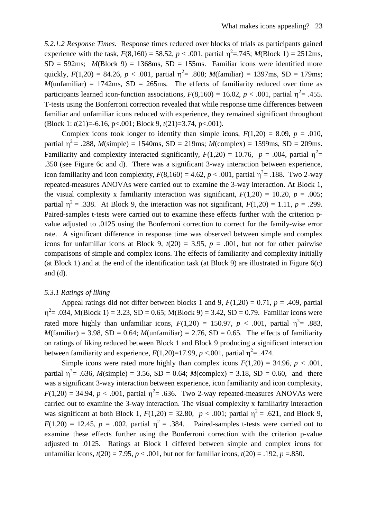*5.2.1.2 Response Times.* Response times reduced over blocks of trials as participants gained experience with the task,  $F(8,160) = 58.52$ ,  $p < .001$ , partial  $\eta^2 = .745$ ;  $M(\text{Block } 1) = 2512 \text{ms}$ ,  $SD = 592ms$ ;  $M(Block 9) = 1368ms$ ,  $SD = 155ms$ . Familiar icons were identified more quickly,  $F(1,20) = 84.26$ ,  $p < .001$ , partial  $\eta^2 = .808$ ;  $M(familiar) = 1397$ ms, SD = 179ms;  $M(\text{unfamiliar}) = 1742 \text{ms}, SD = 265 \text{ms}.$  The effects of familiarity reduced over time as participants learned icon-function associations,  $F(8,160) = 16.02$ ,  $p < .001$ , partial  $\eta^2 = .455$ . T-tests using the Bonferroni correction revealed that while response time differences between familiar and unfamiliar icons reduced with experience, they remained significant throughout (Block 1: *t*(21)=-6.16, p<.001; Block 9, *t*(21)=3.74, p<.001).

Complex icons took longer to identify than simple icons,  $F(1,20) = 8.09$ ,  $p = .010$ , partial  $\eta^2$  = .288, *M*(simple) = 1540ms, SD = 219ms; *M*(complex) = 1599ms, SD = 209ms. Familiarity and complexity interacted significantly,  $F(1,20) = 10.76$ ,  $p = .004$ , partial  $\eta^2 =$ .350 (see Figure 6c and d). There was a significant 3-way interaction between experience, icon familiarity and icon complexity,  $F(8,160) = 4.62$ ,  $p < .001$ , partial  $\eta^2 = .188$ . Two 2-way repeated-measures ANOVAs were carried out to examine the 3-way interaction. At Block 1, the visual complexity x familiarity interaction was significant,  $F(1,20) = 10.20$ ,  $p = .005$ ; partial  $\eta^2$  = .338. At Block 9, the interaction was not significant,  $F(1,20) = 1.11$ ,  $p = .299$ . Paired-samples t-tests were carried out to examine these effects further with the criterion pvalue adjusted to .0125 using the Bonferroni correction to correct for the family-wise error rate. A significant difference in response time was observed between simple and complex icons for unfamiliar icons at Block 9,  $t(20) = 3.95$ ,  $p = .001$ , but not for other pairwise comparisons of simple and complex icons. The effects of familiarity and complexity initially (at Block 1) and at the end of the identification task (at Block 9) are illustrated in Figure 6(c) and (d).

### *5.3.1 Ratings of liking*

Appeal ratings did not differ between blocks 1 and 9,  $F(1,20) = 0.71$ ,  $p = .409$ , partial  $\eta^2$  = .034, M(Block 1) = 3.23, SD = 0.65; M(Block 9) = 3.42, SD = 0.79. Familiar icons were rated more highly than unfamiliar icons,  $F(1,20) = 150.97$ ,  $p < .001$ , partial  $\eta^2 = .883$ ,  $M$ (familiar) = 3.98, SD = 0.64;  $M$ (unfamiliar) = 2.76, SD = 0.65. The effects of familiarity on ratings of liking reduced between Block 1 and Block 9 producing a significant interaction between familiarity and experience,  $F(1,20)=17.99$ ,  $p < 0.01$ , partial  $\eta^2 = .474$ .

Simple icons were rated more highly than complex icons  $F(1,20) = 34.96$ ,  $p < .001$ , partial  $\eta^2$  = .636, *M*(simple) = 3.56, SD = 0.64; *M*(complex) = 3.18, SD = 0.60, and there was a significant 3-way interaction between experience, icon familiarity and icon complexity,  $F(1,20) = 34.94$ ,  $p < .001$ , partial  $\eta^2 = .636$ . Two 2-way repeated-measures ANOVAs were carried out to examine the 3-way interaction. The visual complexity x familiarity interaction was significant at both Block 1,  $F(1,20) = 32.80$ ,  $p < .001$ ; partial  $\eta^2 = .621$ , and Block 9,  $F(1,20) = 12.45$ ,  $p = .002$ , partial  $\eta^2 = .384$ . Paired-samples t-tests were carried out to examine these effects further using the Bonferroni correction with the criterion p-value adjusted to .0125. Ratings at Block 1 differed between simple and complex icons for unfamiliar icons,  $t(20) = 7.95$ ,  $p < .001$ , but not for familiar icons,  $t(20) = .192$ ,  $p = .850$ .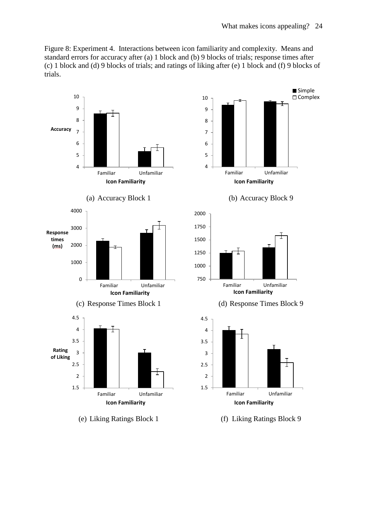Figure 8: Experiment 4. Interactions between icon familiarity and complexity. Means and standard errors for accuracy after (a) 1 block and (b) 9 blocks of trials; response times after (c) 1 block and (d) 9 blocks of trials; and ratings of liking after (e) 1 block and (f) 9 blocks of trials.

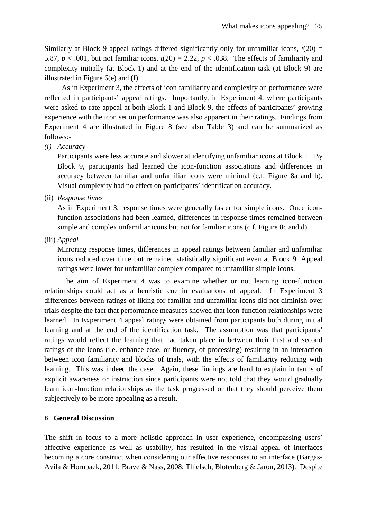Similarly at Block 9 appeal ratings differed significantly only for unfamiliar icons,  $t(20) =$ 5.87,  $p < .001$ , but not familiar icons,  $t(20) = 2.22$ ,  $p < .038$ . The effects of familiarity and complexity initially (at Block 1) and at the end of the identification task (at Block 9) are illustrated in Figure 6(e) and (f).

As in Experiment 3, the effects of icon familiarity and complexity on performance were reflected in participants' appeal ratings. Importantly, in Experiment 4, where participants were asked to rate appeal at both Block 1 and Block 9, the effects of participants' growing experience with the icon set on performance was also apparent in their ratings. Findings from Experiment 4 are illustrated in Figure 8 (see also Table 3) and can be summarized as follows:-

*(i) Accuracy*

Participants were less accurate and slower at identifying unfamiliar icons at Block 1. By Block 9, participants had learned the icon-function associations and differences in accuracy between familiar and unfamiliar icons were minimal (c.f. Figure 8a and b). Visual complexity had no effect on participants' identification accuracy.

(ii) *Response times*

As in Experiment 3, response times were generally faster for simple icons. Once iconfunction associations had been learned, differences in response times remained between simple and complex unfamiliar icons but not for familiar icons (c.f. Figure 8c and d).

(iii) *Appeal*

Mirroring response times, differences in appeal ratings between familiar and unfamiliar icons reduced over time but remained statistically significant even at Block 9. Appeal ratings were lower for unfamiliar complex compared to unfamiliar simple icons.

The aim of Experiment 4 was to examine whether or not learning icon-function relationships could act as a heuristic cue in evaluations of appeal. In Experiment 3 differences between ratings of liking for familiar and unfamiliar icons did not diminish over trials despite the fact that performance measures showed that icon-function relationships were learned. In Experiment 4 appeal ratings were obtained from participants both during initial learning and at the end of the identification task. The assumption was that participants' ratings would reflect the learning that had taken place in between their first and second ratings of the icons (i.e. enhance ease, or fluency, of processing) resulting in an interaction between icon familiarity and blocks of trials, with the effects of familiarity reducing with learning. This was indeed the case. Again, these findings are hard to explain in terms of explicit awareness or instruction since participants were not told that they would gradually learn icon-function relationships as the task progressed or that they should perceive them subjectively to be more appealing as a result.

# *6* **General Discussion**

The shift in focus to a more holistic approach in user experience, encompassing users' affective experience as well as usability, has resulted in the visual appeal of interfaces becoming a core construct when considering our affective responses to an interface (Bargas-Avila & Hornbaek, 2011; Brave & Nass, 2008; Thielsch, Blotenberg & Jaron, 2013). Despite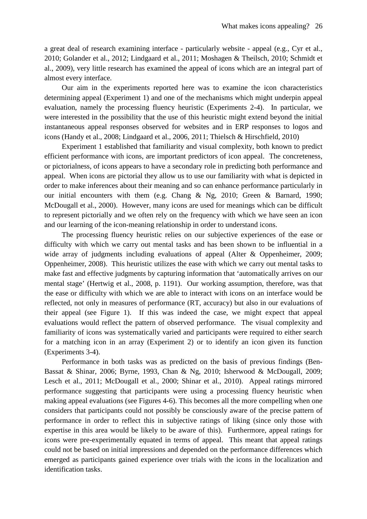a great deal of research examining interface - particularly website - appeal (e.g., Cyr et al., 2010; Golander et al., 2012; Lindgaard et al., 2011; Moshagen & Theilsch, 2010; Schmidt et al., 2009), very little research has examined the appeal of icons which are an integral part of almost every interface.

Our aim in the experiments reported here was to examine the icon characteristics determining appeal (Experiment 1) and one of the mechanisms which might underpin appeal evaluation, namely the processing fluency heuristic (Experiments 2-4). In particular, we were interested in the possibility that the use of this heuristic might extend beyond the initial instantaneous appeal responses observed for websites and in ERP responses to logos and icons (Handy et al., 2008; Lindgaard et al., 2006, 2011; Thielsch & Hirschfield, 2010)

Experiment 1 established that familiarity and visual complexity, both known to predict efficient performance with icons, are important predictors of icon appeal. The concreteness, or pictorialness, of icons appears to have a secondary role in predicting both performance and appeal. When icons are pictorial they allow us to use our familiarity with what is depicted in order to make inferences about their meaning and so can enhance performance particularly in our initial encounters with them (e.g. Chang & Ng, 2010; Green & Barnard, 1990; McDougall et al., 2000). However, many icons are used for meanings which can be difficult to represent pictorially and we often rely on the frequency with which we have seen an icon and our learning of the icon-meaning relationship in order to understand icons.

The processing fluency heuristic relies on our subjective experiences of the ease or difficulty with which we carry out mental tasks and has been shown to be influential in a wide array of judgments including evaluations of appeal (Alter & Oppenheimer, 2009; Oppenheimer, 2008). This heuristic utilizes the ease with which we carry out mental tasks to make fast and effective judgments by capturing information that 'automatically arrives on our mental stage' (Hertwig et al., 2008, p. 1191). Our working assumption, therefore, was that the ease or difficulty with which we are able to interact with icons on an interface would be reflected, not only in measures of performance (RT, accuracy) but also in our evaluations of their appeal (see Figure 1). If this was indeed the case, we might expect that appeal evaluations would reflect the pattern of observed performance. The visual complexity and familiarity of icons was systematically varied and participants were required to either search for a matching icon in an array (Experiment 2) or to identify an icon given its function (Experiments 3-4).

Performance in both tasks was as predicted on the basis of previous findings (Ben-Bassat & Shinar, 2006; Byrne, 1993, Chan & Ng, 2010; Isherwood & McDougall, 2009; Lesch et al., 2011; McDougall et al., 2000; Shinar et al., 2010). Appeal ratings mirrored performance suggesting that participants were using a processing fluency heuristic when making appeal evaluations (see Figures 4-6). This becomes all the more compelling when one considers that participants could not possibly be consciously aware of the precise pattern of performance in order to reflect this in subjective ratings of liking (since only those with expertise in this area would be likely to be aware of this). Furthermore, appeal ratings for icons were pre-experimentally equated in terms of appeal. This meant that appeal ratings could not be based on initial impressions and depended on the performance differences which emerged as participants gained experience over trials with the icons in the localization and identification tasks.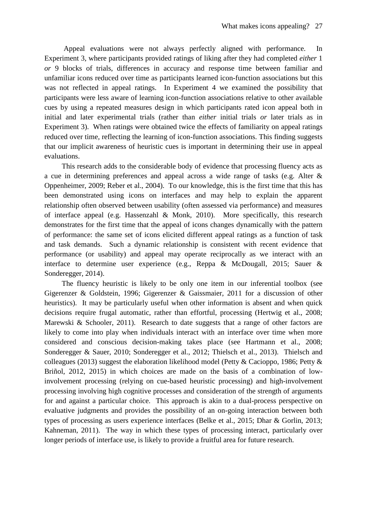Appeal evaluations were not always perfectly aligned with performance. In Experiment 3, where participants provided ratings of liking after they had completed *either* 1 *or* 9 blocks of trials, differences in accuracy and response time between familiar and unfamiliar icons reduced over time as participants learned icon-function associations but this was not reflected in appeal ratings. In Experiment 4 we examined the possibility that participants were less aware of learning icon-function associations relative to other available cues by using a repeated measures design in which participants rated icon appeal both in initial and later experimental trials (rather than *either* initial trials *or* later trials as in Experiment 3). When ratings were obtained twice the effects of familiarity on appeal ratings reduced over time, reflecting the learning of icon-function associations. This finding suggests that our implicit awareness of heuristic cues is important in determining their use in appeal evaluations.

This research adds to the considerable body of evidence that processing fluency acts as a cue in determining preferences and appeal across a wide range of tasks (e.g. Alter & Oppenheimer, 2009; Reber et al., 2004). To our knowledge, this is the first time that this has been demonstrated using icons on interfaces and may help to explain the apparent relationship often observed between usability (often assessed via performance) and measures of interface appeal (e.g. Hassenzahl & Monk, 2010). More specifically, this research demonstrates for the first time that the appeal of icons changes dynamically with the pattern of performance: the same set of icons elicited different appeal ratings as a function of task and task demands. Such a dynamic relationship is consistent with recent evidence that performance (or usability) and appeal may operate reciprocally as we interact with an interface to determine user experience (e.g., Reppa & McDougall, 2015; Sauer & Sonderegger, 2014).

The fluency heuristic is likely to be only one item in our inferential toolbox (see Gigerenzer & Goldstein, 1996; Gigerenzer & Gaissmaier, 2011 for a discussion of other heuristics). It may be particularly useful when other information is absent and when quick decisions require frugal automatic, rather than effortful, processing (Hertwig et al., 2008; Marewski & Schooler, 2011). Research to date suggests that a range of other factors are likely to come into play when individuals interact with an interface over time when more considered and conscious decision-making takes place (see Hartmann et al., 2008; Sonderegger & Sauer, 2010; Sonderegger et al., 2012; Thielsch et al., 2013). Thielsch and colleagues (2013) suggest the elaboration likelihood model (Petty & Cacioppo, 1986; Petty & Briñol, 2012, 2015) in which choices are made on the basis of a combination of lowinvolvement processing (relying on cue-based heuristic processing) and high-involvement processing involving high cognitive processes and consideration of the strength of arguments for and against a particular choice. This approach is akin to a dual-process perspective on evaluative judgments and provides the possibility of an on-going interaction between both types of processing as users experience interfaces (Belke et al., 2015; Dhar & Gorlin, 2013; Kahneman, 2011). The way in which these types of processing interact, particularly over longer periods of interface use, is likely to provide a fruitful area for future research.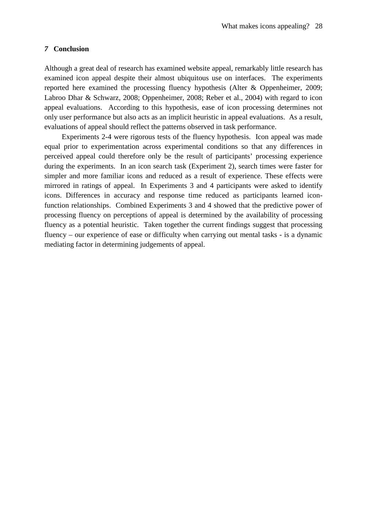## *7* **Conclusion**

Although a great deal of research has examined website appeal, remarkably little research has examined icon appeal despite their almost ubiquitous use on interfaces. The experiments reported here examined the processing fluency hypothesis (Alter & Oppenheimer, 2009; Labroo Dhar & Schwarz, 2008; Oppenheimer, 2008; Reber et al., 2004) with regard to icon appeal evaluations. According to this hypothesis, ease of icon processing determines not only user performance but also acts as an implicit heuristic in appeal evaluations. As a result, evaluations of appeal should reflect the patterns observed in task performance.

Experiments 2-4 were rigorous tests of the fluency hypothesis. Icon appeal was made equal prior to experimentation across experimental conditions so that any differences in perceived appeal could therefore only be the result of participants' processing experience during the experiments. In an icon search task (Experiment 2), search times were faster for simpler and more familiar icons and reduced as a result of experience. These effects were mirrored in ratings of appeal. In Experiments 3 and 4 participants were asked to identify icons. Differences in accuracy and response time reduced as participants learned iconfunction relationships. Combined Experiments 3 and 4 showed that the predictive power of processing fluency on perceptions of appeal is determined by the availability of processing fluency as a potential heuristic. Taken together the current findings suggest that processing fluency – our experience of ease or difficulty when carrying out mental tasks - is a dynamic mediating factor in determining judgements of appeal.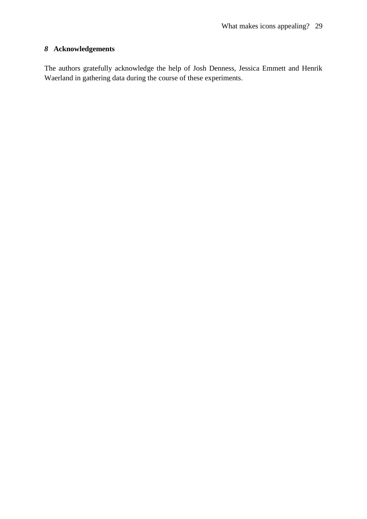# *8* **Acknowledgements**

The authors gratefully acknowledge the help of Josh Denness, Jessica Emmett and Henrik Waerland in gathering data during the course of these experiments.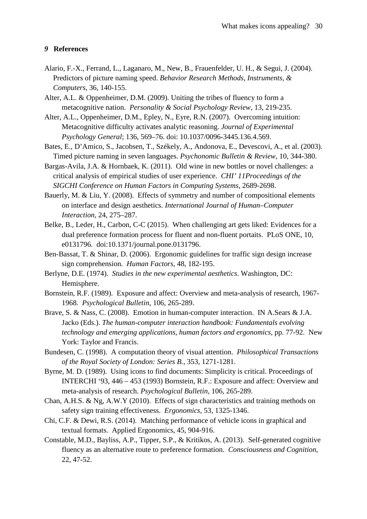### *9* **References**

- Alario, F.-X., Ferrand, L., Laganaro, M., New, B., Frauenfelder, U. H., & Segui, J. (2004). Predictors of picture naming speed. *Behavior Research Methods, Instruments, & Computers*, 36, 140-155.
- Alter, A.L. & Oppenheimer, D.M. (2009). Uniting the tribes of fluency to form a metacognitive nation. *Personality & Social Psychology Review*, 13, 219-235.
- Alter, A.L., Oppenheimer, D.M., Epley, N., Eyre, R.N. (2007). Overcoming intuition: Metacognitive difficulty activates analytic reasoning. *Journal of Experimental Psychology General*; 136, 569–76. doi: 10.1037/0096-3445.136.4.569.
- Bates, E., D'Amico, S., Jacobsen, T., Székely, A., Andonova, E., Devescovi, A., et al. (2003). Timed picture naming in seven languages. *Psychonomic Bulletin & Review*, 10, 344-380.
- Bargas-Avila, J.A. & Hornbaek, K. (2011). Old wine in new bottles or novel challenges: a critical analysis of empirical studies of user experience. *CHI' 11Proceedings of the SIGCHI Conference on Human Factors in Computing Systems*, 2689-2698.
- Bauerly, M. & Liu, Y. (2008). Effects of symmetry and number of compositional elements on interface and design aesthetics. *International Journal of Human–Computer Interaction*, 24, 275–287.
- Belke, B., Leder, H., Carbon, C-C (2015). When challenging art gets liked: Evidences for a dual preference formation process for fluent and non-fluent portaits. PLoS ONE, 10, e0131796. doi:10.1371/journal.pone.0131796.
- Ben-Bassat, T. & Shinar, D. (2006). Ergonomic guidelines for traffic sign design increase sign comprehension. *Human Factors*, 48, 182-195.
- Berlyne, D.E. (1974). *Studies in the new experimental aesthetics*. Washington, DC: Hemisphere.
- Bornstein, R.F. (1989). Exposure and affect: Overview and meta-analysis of research, 1967- 1968. *Psychological Bulletin*, 106, 265-289.
- Brave, S. & Nass, C. (2008). Emotion in human-computer interaction. IN A.Sears & J.A. Jacko (Eds.). *The human-computer interaction handbook: Fundamentals evolving technology and emerging applications, human factors and ergonomics,* pp. 77-92. New York: Taylor and Francis.
- Bundesen, C. (1998). A computation theory of visual attention. *Philosophical Transactions of the Royal Society of London: Series B.,* 353, 1271-1281.
- Byrne, M. D. (1989). Using icons to find documents: Simplicity is critical. Proceedings of INTERCHI '93, 446 – 453 (1993) Bornstein, R.F.: Exposure and affect: Overview and meta-analysis of research. *Psychological Bulletin*, 106, 265-289.
- Chan, A.H.S. & Ng, A.W.Y (2010). Effects of sign characteristics and training methods on safety sign training effectiveness. *Ergonomics*, 53, 1325-1346.
- Chi, C.F. & Dewi, R.S. (2014). Matching performance of vehicle icons in graphical and textual formats. Applied Ergonomics, 45, 904-916.
- Constable, M.D., Bayliss, A.P., Tipper, S.P., & Kritikos, A. (2013). Self-generated cognitive fluency as an alternative route to preference formation. *Consciousness and Cognition*, 22, 47-52.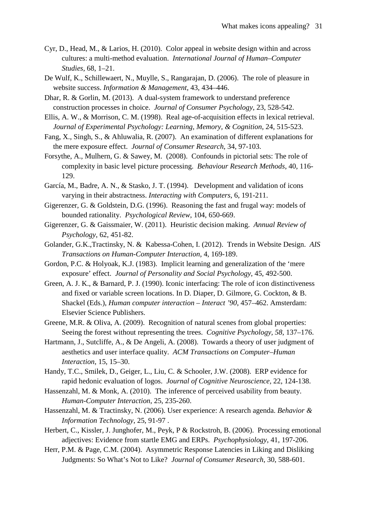- Cyr, D., Head, M., & Larios, H. (2010). Color appeal in website design within and across cultures: a multi-method evaluation. *International Journal of Human–Computer Studies*, 68, 1–21.
- De Wulf, K., Schillewaert, N., Muylle, S., Rangarajan, D. (2006). The role of pleasure in website success. *Information & Management*, 43, 434–446.
- Dhar, R. & Gorlin, M. (2013). A dual-system framework to understand preference construction processes in choice. *Journal of Consumer Psychology*, 23, 528-542.
- Ellis, A. W., & Morrison, C. M. (1998). Real age-of-acquisition effects in lexical retrieval. *Journal of Experimental Psychology: Learning, Memory, & Cognition*, 24, 515-523.
- Fang, X., Singh, S., & Ahluwalia, R. (2007). An examination of different explanations for the mere exposure effect. *Journal of Consumer Research*, 34, 97-103.
- Forsythe, A., Mulhern, G. & Sawey, M. (2008). Confounds in pictorial sets: The role of complexity in basic level picture processing. *Behaviour Research Methods*, 40, 116- 129.
- García, M., Badre, A. N., & Stasko, J. T. (1994). Development and validation of icons varying in their abstractness. *Interacting with Computers*, 6, 191-211.
- Gigerenzer, G. & Goldstein, D.G. (1996). Reasoning the fast and frugal way: models of bounded rationality. *Psychological Review*, 104, 650-669.
- Gigerenzer, G. & Gaissmaier, W. (2011). Heuristic decision making. *Annual Review of Psychology*, 62, 451-82.
- Golander, G.K.,Tractinsky, N. & Kabessa-Cohen, I. (2012). Trends in Website Design. *AIS Transactions on Human-Computer Interaction*, 4, 169-189.
- Gordon, P.C. & Holyoak, K.J. (1983). Implicit learning and generalization of the 'mere exposure' effect. *Journal of Personality and Social Psychology*, 45, 492-500.
- Green, A. J. K., & Barnard, P. J. (1990). Iconic interfacing: The role of icon distinctiveness and fixed or variable screen locations. In D. Diaper, D. Gilmore, G. Cockton, & B. Shackel (Eds.), *Human computer interaction – Interact '90*, 457–462. Amsterdam: Elsevier Science Publishers.
- Greene, M.R. & Oliva, A. (2009). Recognition of natural scenes from global properties: Seeing the forest without representing the trees. *Cognitive Psychology, 58*, 137–176.
- Hartmann, J., Sutcliffe, A., & De Angeli, A. (2008). Towards a theory of user judgment of aesthetics and user interface quality. *ACM Transactions on Computer–Human Interaction*, 15, 15–30.
- Handy, T.C., Smilek, D., Geiger, L., Liu, C. & Schooler, J.W. (2008). ERP evidence for rapid hedonic evaluation of logos. *Journal of Cognitive Neuroscience,* 22, 124-138.
- Hassenzahl, M. & Monk, A. (2010). The inference of perceived usability from beauty. *Human-Computer Interaction*, 25, 235-260.
- Hassenzahl, M. & Tractinsky, N. (2006). User experience: A research agenda. *Behavior & Information Technology*, 25, 91-97 .
- Herbert, C., Kissler, J. Junghofer, M., Peyk, P & Rockstroh, B. (2006). Processing emotional adjectives: Evidence from startle EMG and ERPs. *Psychophysiology*, 41, 197-206.
- Herr, P.M. & Page, C.M. (2004). Asymmetric Response Latencies in Liking and Disliking Judgments: So What's Not to Like? *Journal of Consumer Research*, 30, 588-601.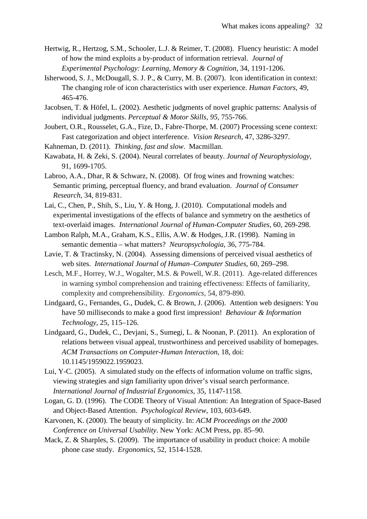- Hertwig, R., Hertzog, S.M., Schooler, L.J. & Reimer, T. (2008). Fluency heuristic: A model of how the mind exploits a by-product of information retrieval. *Journal of Experimental Psychology: Learning, Memory & Cognition*, 34, 1191-1206.
- Isherwood, S. J., McDougall, S. J. P., & Curry, M. B. (2007). Icon identification in context: The changing role of icon characteristics with user experience. *Human Factors*, 49, 465-476.
- Jacobsen, T. & Höfel, L. (2002). Aesthetic judgments of novel graphic patterns: Analysis of individual judgments. *Perceptual & Motor Skills, 95*, 755-766.
- Joubert, O.R., Rousselet, G.A., Fize, D., Fabre-Thorpe, M. (2007) Processing scene context: Fast categorization and object interference. *Vision Research*, 47, 3286-3297.
- Kahneman, D. (2011). *Thinking, fast and slow*. Macmillan.
- Kawabata, H. & Zeki, S. (2004). Neural correlates of beauty. *Journal of Neurophysiology,*  91, 1699-1705.
- Labroo, A.A., Dhar, R & Schwarz, N. (2008). Of frog wines and frowning watches: Semantic priming, perceptual fluency, and brand evaluation. *Journal of Consumer Research*, 34, 819-831.
- Lai, C., Chen, P., Shih, S., Liu, Y. & Hong, J. (2010). Computational models and experimental investigations of the effects of balance and symmetry on the aesthetics of text-overlaid images. *International Journal of Human-Computer Studies*, 60, 269-298.
- Lambon Ralph, M.A., Graham, K.S., Ellis, A.W. & Hodges, J.R. (1998). Naming in semantic dementia – what matters? *Neuropsychologia*, 36, 775-784.
- Lavie, T. & Tractinsky, N. (2004). Assessing dimensions of perceived visual aesthetics of web sites. *International Journal of Human–Computer Studies*, 60, 269–298.
- Lesch, M.F., Horrey, W.J., Wogalter, M.S. & Powell, W.R. (2011). Age-related differences in warning symbol comprehension and training effectiveness: Effects of familiarity, complexity and comprehensibility. *Ergonomics*, 54, 879-890.
- Lindgaard, G., Fernandes, G., Dudek, C. & Brown, J. (2006). Attention web designers: You have 50 milliseconds to make a good first impression! *Behaviour & Information Technology*, 25, 115–126.
- Lindgaard, G., Dudek, C., Devjani, S., Sumegi, L. & Noonan, P. (2011). An exploration of relations between visual appeal, trustworthiness and perceived usability of homepages. *ACM Transactions on Computer-Human Interaction,* 18, doi: [10.1145/1959022.1959023.](http://dx.doi.org/10.1145/1959022.1959023)
- Lui, Y-C. (2005). A simulated study on the effects of information volume on traffic signs, viewing strategies and sign familiarity upon driver's visual search performance. *International Journal of Industrial Ergonomics*, 35, 1147-1158.
- Logan, G. D. (1996). The CODE Theory of Visual Attention: An Integration of Space-Based and Object-Based Attention. *Psychological Review*, 103, 603-649.
- Karvonen, K. (2000). The beauty of simplicity. In: *ACM Proceedings on the 2000 Conference on Universal Usability*. New York: ACM Press, pp. 85–90.
- Mack, Z. & Sharples, S. (2009). The importance of usability in product choice: A mobile phone case study. *Ergonomics*, 52, 1514-1528.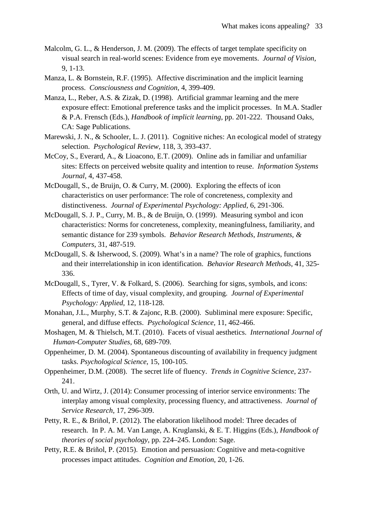- Malcolm, G. L., & Henderson, J. M. (2009). The effects of target template specificity on visual search in real-world scenes: Evidence from eye movements. *Journal of Vision,*  9, 1-13.
- Manza, L. & Bornstein, R.F. (1995). Affective discrimination and the implicit learning process. *Consciousness and Cognition*, 4, 399-409.
- Manza, L., Reber, A.S. & Zizak, D. (1998). Artificial grammar learning and the mere exposure effect: Emotional preference tasks and the implicit processes. In M.A. Stadler & P.A. Frensch (Eds.), *Handbook of implicit learning*, pp. 201-222. Thousand Oaks, CA: Sage Publications.
- Marewski, J. N., & Schooler, L. J. (2011). Cognitive niches: An ecological model of strategy selection. *Psychological Review,* 118, 3, 393-437.
- McCoy, S., Everard, A., & Lioacono, E.T. (2009). Online ads in familiar and unfamiliar sites: Effects on perceived website quality and intention to reuse. *Information Systems Journal*, 4, 437-458.
- McDougall, S., de Bruijn, O. & Curry, M. (2000). Exploring the effects of icon characteristics on user performance: The role of concreteness, complexity and distinctiveness. *Journal of Experimental Psychology: Applied*, 6, 291-306.
- McDougall, S. J. P., Curry, M. B., & de Bruijn, O. (1999). Measuring symbol and icon characteristics: Norms for concreteness, complexity, meaningfulness, familiarity, and semantic distance for 239 symbols. *Behavior Research Methods, Instruments, & Computers*, 31, 487-519.
- McDougall, S. & Isherwood, S. (2009). What's in a name? The role of graphics, functions and their interrelationship in icon identification. *Behavior Research Methods*, 41, 325- 336.
- McDougall, S., Tyrer, V. & Folkard, S. (2006). Searching for signs, symbols, and icons: Effects of time of day, visual complexity, and grouping. *Journal of Experimental Psychology: Applied*, 12, 118-128.
- Monahan, J.L., Murphy, S.T. & Zajonc, R.B. (2000). Subliminal mere exposure: Specific, general, and diffuse effects. *Psychological Science,* 11, 462-466.
- Moshagen, M. & Thielsch, M.T. (2010). Facets of visual aesthetics. *International Journal of Human-Computer Studies*, 68, 689-709.
- Oppenheimer, D. M. (2004). Spontaneous discounting of availability in frequency judgment tasks. *Psychological Science*, 15, 100-105.
- Oppenheimer, D.M. (2008). The secret life of fluency. *Trends in Cognitive Science*, 237- 241.
- Orth, U. and Wirtz, J. (2014): Consumer processing of interior service environments: The interplay among visual complexity, processing fluency, and attractiveness. *Journal of Service Research*, 17, 296-309.
- Petty, R. E., & Briñol, P. (2012). The elaboration likelihood model: Three decades of research. In P. A. M. Van Lange, A. Kruglanski, & E. T. Higgins (Eds.), *Handbook of theories of social psychology*, pp. 224–245. London: Sage.
- Petty, R.E. & Briñol, P. (2015). Emotion and persuasion: Cognitive and meta-cognitive processes impact attitudes. *Cognition and Emotion*, 20, 1-26.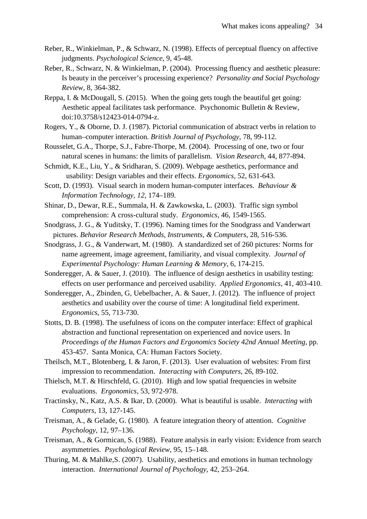- Reber, R., Winkielman, P., & Schwarz, N. (1998). Effects of perceptual fluency on affective judgments. *Psychological Science*, 9, 45-48.
- Reber, R., Schwarz, N. & Winkielman, P. (2004). Processing fluency and aesthetic pleasure: Is beauty in the perceiver's processing experience? *Personality and Social Psychology Review*, 8, 364-382.
- Reppa, I. & McDougall, S. (2015). When the going gets tough the beautiful get going: Aesthetic appeal facilitates task performance. Psychonomic Bulletin & Review, doi:10.3758/s12423-014-0794-z.
- Rogers, Y., & Oborne, D. J. (1987). Pictorial communication of abstract verbs in relation to human–computer interaction. *British Journal of Psychology*, 78, 99-112.
- Rousselet, G.A., Thorpe, S.J., Fabre-Thorpe, M. (2004). Processing of one, two or four natural scenes in humans: the limits of parallelism. *Vision Research,* 44, 877-894.
- Schmidt, K.E., Liu, Y., & Sridharan, S. (2009). Webpage aesthetics, performance and usability: Design variables and their effects. *Ergonomics,* 52, 631-643.
- Scott, D. (1993). Visual search in modern human-computer interfaces. *Behaviour & Information Technology, 12*, 174–189.
- Shinar, D., Dewar, R.E., Summala, H. & Zawkowska, L. (2003). Traffic sign symbol comprehension: A cross-cultural study. *Ergonomics*, 46, 1549-1565.
- Snodgrass, J. G., & Yuditsky, T. (1996). Naming times for the Snodgrass and Vanderwart pictures. *Behavior Research Methods, Instruments, & Computers*, 28, 516-536.
- Snodgrass, J. G., & Vanderwart, M. (1980). A standardized set of 260 pictures: Norms for name agreement, image agreement, familiarity, and visual complexity. *Journal of Experimental Psychology: Human Learning & Memory*, 6, 174-215.
- Sonderegger, A. & Sauer, J. (2010). The influence of design aesthetics in usability testing: effects on user performance and perceived usability. *Applied Ergonomics*, 41, 403-410.
- Sonderegger, A., Zbinden, G, Uebelbacher, A. & Sauer, J. (2012). The influence of project aesthetics and usability over the course of time: A longitudinal field experiment. *Ergonomics*, 55, 713-730.
- Stotts, D. B. (1998). The usefulness of icons on the computer interface: Effect of graphical abstraction and functional representation on experienced and novice users. In *Proceedings of the Human Factors and Ergonomics Society 42nd Annual Meeting*, pp. 453-457. Santa Monica, CA: Human Factors Society.
- Theilsch, M.T., Blotenberg, I. & Jaron, F. (2013). User evaluation of websites: From first impression to recommendation. *Interacting with Computers*, 26, 89-102.
- Thielsch, M.T. & Hirschfeld, G. (2010). High and low spatial frequencies in website evaluations. *Ergonomics*, 53, 972-978.
- Tractinsky, N., Katz, A.S. & Ikar, D. (2000). What is beautiful is usable. *Interacting with Computers,* 13, 127-145.
- Treisman, A., & Gelade, G. (1980). A feature integration theory of attention. *Cognitive Psychology,* 12, 97–136.
- Treisman, A., & Gormican, S. (1988). Feature analysis in early vision: Evidence from search asymmetries. *Psychological Review,* 95, 15–148.
- Thuring, M. & Mahlke,S. (2007). Usability, aesthetics and emotions in human technology interaction. *International Journal of Psychology*, 42, 253–264.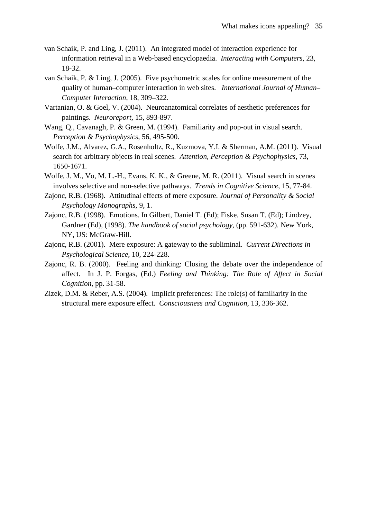- van Schaik, P. and Ling, J. (2011). An integrated model of interaction experience for information retrieval in a Web-based encyclopaedia. *Interacting with Computers*, 23, 18-32.
- van Schaik, P. & Ling, J. (2005). Five psychometric scales for online measurement of the quality of human–computer interaction in web sites. *International Journal of Human– Computer Interaction*, 18, 309–322.
- Vartanian, O. & Goel, V. (2004). Neuroanatomical correlates of aesthetic preferences for paintings. *Neuroreport,* 15, 893-897.
- Wang, Q., Cavanagh, P. & Green, M. (1994). Familiarity and pop-out in visual search. *Perception & Psychophysics*, 56, 495-500.
- Wolfe, J.M., Alvarez, G.A., Rosenholtz, R., Kuzmova, Y.I. & Sherman, A.M. (2011). Visual search for arbitrary objects in real scenes. *Attention, Perception & Psychophysics*, 73, 1650-1671.
- Wolfe, J. M., Vo, M. L.-H., Evans, K. K., & Greene, M. R. (2011). Visual search in scenes involves selective and non-selective pathways. *Trends in Cognitive Science*, 15, 77-84.
- Zajonc, R.B. (1968). Attitudinal effects of mere exposure. *Journal of Personality & Social Psychology Monographs*, 9, 1.
- Zajonc, R.B. (1998). Emotions. In Gilbert, Daniel T. (Ed); Fiske, Susan T. (Ed); Lindzey, Gardner (Ed), (1998). *The handbook of social psychology,* (pp. 591-632). New York, NY, US: McGraw-Hill.
- Zajonc, R.B. (2001). Mere exposure: A gateway to the subliminal. *Current Directions in Psychological Science*, 10*,* 224-228.
- Zajonc, R. B. (2000). Feeling and thinking: Closing the debate over the independence of affect. In J. P. Forgas, (Ed.) *Feeling and Thinking: The Role of Affect in Social Cognition*, pp. 31-58.
- Zizek, D.M. & Reber, A.S. (2004). Implicit preferences: The role(s) of familiarity in the structural mere exposure effect. *Consciousness and Cognition*, 13, 336-362.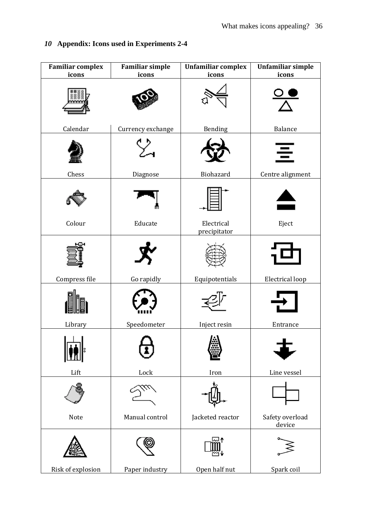| <b>Familiar complex</b> | <b>Familiar simple</b> | <b>Unfamiliar complex</b>  | <b>Unfamiliar simple</b>  |
|-------------------------|------------------------|----------------------------|---------------------------|
| icons                   | icons                  | icons                      | icons                     |
|                         |                        |                            |                           |
| Calendar                | Currency exchange      | Bending                    | Balance                   |
|                         |                        |                            |                           |
| Chess                   | Diagnose               | Biohazard                  | Centre alignment          |
|                         |                        |                            |                           |
| Colour                  | Educate                | Electrical<br>precipitator | Eject                     |
|                         |                        |                            |                           |
| Compress file           | Go rapidly             | Equipotentials             | <b>Electrical</b> loop    |
|                         |                        |                            |                           |
| Library                 | Speedometer            | Inject resin               | Entrance                  |
| .<br>Lift               | Lock                   | $\mathbf{L}$<br>Iron       | Line vessel               |
|                         |                        |                            |                           |
|                         |                        |                            |                           |
| Note                    | Manual control         | Jacketed reactor           | Safety overload<br>device |
|                         |                        |                            |                           |
| Risk of explosion       | Paper industry         | Open half nut              | Spark coil                |

# *10* **Appendix: Icons used in Experiments 2-4**